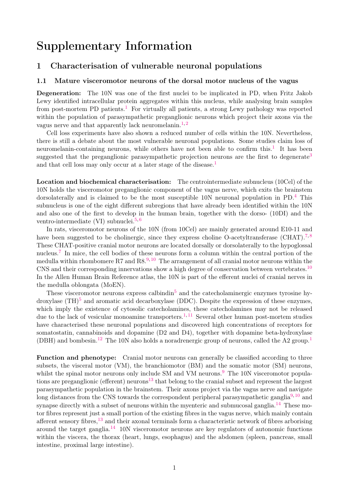# Supplementary Information

# 1 Characterisation of vulnerable neuronal populations

#### 1.1 Mature visceromotor neurons of the dorsal motor nucleus of the vagus

Degeneration: The 10N was one of the first nuclei to be implicated in PD, when Fritz Jakob Lewy identified intracellular protein aggregates within this nucleus, while analysing brain samples from post-mortem PD patients.<sup>[1](#page-15-0)</sup> For virtually all patients, a strong Lewy pathology was reported within the population of parasympathetic preganglionic neurons which project their axons via the vagus nerve and that apparently lack neuromelanin.<sup>[1,](#page-15-0)[2](#page-15-1)</sup>

Cell loss experiments have also shown a reduced number of cells within the 10N. Nevertheless, there is still a debate about the most vulnerable neuronal populations. Some studies claim loss of neuromelanin-containing neurons, while others have not been able to confirm this.<sup>[1](#page-15-0)</sup> It has been suggested that the preganglionic parasympathetic projection neurons are the first to degenerate<sup>[3](#page-15-2)</sup> and that cell loss may only occur at a later stage of the disease.<sup>[1](#page-15-0)</sup>

Location and biochemical characterisation: The centrointermediate subnucleus (10Cel) of the 10N holds the visceromotor preganglionic component of the vagus nerve, which exits the brainstem dorsolaterally and is claimed to be the most susceptible 10N neuronal population in PD.<sup>[4](#page-15-3)</sup> This subnucleus is one of the eight different subregions that have already been identified within the 10N and also one of the first to develop in the human brain, together with the dorso- (10DI) and the ventro-intermediate (VI) subnuclei.<sup>[5,](#page-15-4)[6](#page-15-5)</sup>

In rats, visceromotor neurons of the 10N (from 10Cel) are mainly generated around E10-11 and have been suggested to be cholinergic, since they express choline O-acetyltransferase (CHAT).<sup>[7,](#page-15-6)[8](#page-15-7)</sup> These CHAT-positive cranial motor neurons are located dorsally or dorsolaterally to the hypoglossal nucleus.<sup>[7](#page-15-6)</sup> In mice, the cell bodies of these neurons form a column within the central portion of the medulla within rhombomere R7 and  $R8^{9,10}$  $R8^{9,10}$  $R8^{9,10}$  $R8^{9,10}$  The arrangement of all cranial motor neurons within the CNS and their corresponding innervations show a high degree of conservation between vertebrates.<sup>[10](#page-15-9)</sup> In the Allen Human Brain Reference atlas, the 10N is part of the efferent nuclei of cranial nerves in the medulla oblongata (MoEN).

These visceromotor neurons express calbindin<sup>[5](#page-15-4)</sup> and the catecholaminergic enzymes tyrosine hydroxylase  $(TH)^5$  $(TH)^5$  and aromatic acid decarboxylase (DDC). Despite the expression of these enzymes, which imply the existence of cytosolic catecholamines, these catecholamines may not be released due to the lack of vesicular monoamine transporters.<sup>[1,](#page-15-0) [11](#page-15-10)</sup> Several other human post-mortem studies have characterised these neuronal populations and discovered high concentrations of receptors for somatostatin, cannabinoids and dopamine (D2 and D4), together with dopamine beta-hydroxylase (DBH) and bombesin.<sup>[12](#page-15-11)</sup> The [1](#page-15-0)0N also holds a noradrenergic group of neurons, called the A2 group.<sup>1</sup>

Function and phenotype: Cranial motor neurons can generally be classified according to three subsets, the visceral motor (VM), the branchiomotor (BM) and the somatic motor (SM) neurons, whilst the spinal motor neurons only include SM and VM neurons.<sup>[9](#page-15-8)</sup> The 10N visceromotor popula-tions are preganglionic (efferent) neurons<sup>[13](#page-15-12)</sup> that belong to the cranial subset and represent the largest parasympathetic population in the brainstem. Their axons project via the vagus nerve and navigate long distances from the CNS towards the correspondent peripheral parasympathetic ganglia<sup>[9,](#page-15-8) [10](#page-15-9)</sup> and synapse directly with a subset of neurons within the myenteric and submucosal ganglia.<sup>[14](#page-15-13)</sup> These motor fibres represent just a small portion of the existing fibres in the vagus nerve, which mainly contain afferent sensory fibres,  $^{13}$  $^{13}$  $^{13}$  and their axonal terminals form a characteristic network of fibres arborising around the target ganglia.<sup>[14](#page-15-13)</sup> 10N visceromotor neurons are key regulators of autonomic functions within the viscera, the thorax (heart, lungs, esophagus) and the abdomen (spleen, pancreas, small intestine, proximal large intestine).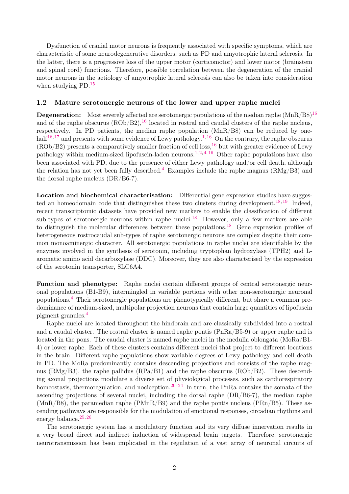Dysfunction of cranial motor neurons is frequently associated with specific symptoms, which are characteristic of some neurodegenerative disorders, such as PD and amyotrophic lateral sclerosis. In the latter, there is a progressive loss of the upper motor (corticomotor) and lower motor (brainstem and spinal cord) functions. Therefore, possible correlation between the degeneration of the cranial motor neurons in the aetiology of amyotrophic lateral sclerosis can also be taken into consideration when studying PD.<sup>[15](#page-15-14)</sup>

#### 1.2 Mature serotonergic neurons of the lower and upper raphe nuclei

**Degeneration:** Most severely affected are serotonergic populations of the median raphe  $(MnR/B8)^{16}$  $(MnR/B8)^{16}$  $(MnR/B8)^{16}$ and of the raphe obscurus  $(ROb/B2)$ ,<sup>[16](#page-16-0)</sup> located in rostral and caudal clusters of the raphe nucleus, respectively. In PD patients, the median raphe population (MnR/B8) can be reduced by one-half<sup>[16,](#page-16-0) [17](#page-16-1)</sup> and presents with some evidence of Lewy pathology.<sup>[1,](#page-15-0) [16](#page-16-0)</sup> On the contrary, the raphe obscurus  $(ROb/B2)$  presents a comparatively smaller fraction of cell loss,<sup>[16](#page-16-0)</sup> but with greater evidence of Lewy pathology within medium-sized lipofuscin-laden neurons.<sup>[1,](#page-15-0) [2,](#page-15-1) [4,](#page-15-3) [16](#page-16-0)</sup> Other raphe populations have also been associated with PD, due to the presence of either Lewy pathology and/or cell death, although the relation has not yet been fully described.<sup>[4](#page-15-3)</sup> Examples include the raphe magnus ( $RMg/B3$ ) and the dorsal raphe nucleus (DR/B6-7).

Location and biochemical characterisation: Differential gene expression studies have sugges-ted an homeodomain code that distinguishes these two clusters during development.<sup>[18,](#page-16-2) [19](#page-16-3)</sup> Indeed, recent transcriptomic datasets have provided new markers to enable the classification of different sub-types of serotonergic neurons within raphe nuclei.<sup>[18](#page-16-2)</sup> However, only a few markers are able to distinguish the molecular differences between these populations.<sup>[18](#page-16-2)</sup> Gene expression profiles of heterogeneous rostrocaudal sub-types of raphe serotonergic neurons are complex despite their common monoaminergic character. All serotonergic populations in raphe nuclei are identifiable by the enzymes involved in the synthesis of serotonin, including tryptophan hydroxylase (TPH2) and Laromatic amino acid decarboxylase (DDC). Moreover, they are also characterised by the expression of the serotonin transporter, SLC6A4.

Function and phenotype: Raphe nuclei contain different groups of central serotonergic neuronal populations (B1-B9), intermingled in variable portions with other non-serotonergic neuronal populations.[4](#page-15-3) Their serotonergic populations are phenotypically different, but share a common predominance of medium-sized, multipolar projection neurons that contain large quantities of lipofuscin pigment granules.[4](#page-15-3)

Raphe nuclei are located throughout the hindbrain and are classically subdivided into a rostral and a caudal cluster. The rostral cluster is named raphe pontis (PnRa/B5-9) or upper raphe and is located in the pons. The caudal cluster is named raphe nuclei in the medulla oblongata (MoRa/B1- 4) or lower raphe. Each of these clusters contains different nuclei that project to different locations in the brain. Different raphe populations show variable degrees of Lewy pathology and cell death in PD. The MoRa predominantly contains descending projections and consists of the raphe magnus ( $\rm RMg/B3$ ), the raphe pallidus ( $\rm RPa/B1$ ) and the raphe obscurus ( $\rm ROb/B2$ ). These descending axonal projections modulate a diverse set of physiological processes, such as cardiorespiratory homeostasis, thermoregulation, and nociception.<sup>[20–](#page-16-4)[24](#page-16-5)</sup> In turn, the PnRa contains the somata of the ascending projections of several nuclei, including the dorsal raphe (DR/B6-7), the median raphe  $(MnR/B8)$ , the paramedian raphe (PMnR/B9) and the raphe pontis nucleus (PRn/B5). These ascending pathways are responsible for the modulation of emotional responses, circadian rhythms and energy balance.<sup>[25,](#page-16-6) [26](#page-16-7)</sup>

The serotonergic system has a modulatory function and its very diffuse innervation results in a very broad direct and indirect induction of widespread brain targets. Therefore, serotonergic neurotransmission has been implicated in the regulation of a vast array of neuronal circuits of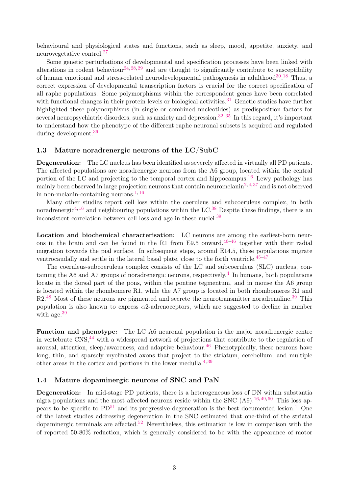behavioural and physiological states and functions, such as sleep, mood, appetite, anxiety, and neurovegetative control.[27](#page-16-8)

Some genetic perturbations of developmental and specification processes have been linked with alterations in rodent behaviour<sup>[24,](#page-16-5) [28,](#page-16-9) [29](#page-16-10)</sup> and are thought to significantly contribute to susceptibility of human emotional and stress-related neurodevelopmental pathogenesis in adulthood<sup>[30](#page-16-11)</sup>.<sup>[18](#page-16-2)</sup> Thus, a correct expression of developmental transcription factors is crucial for the correct specification of all raphe populations. Some polymorphisms within the correspondent genes have been correlated with functional changes in their protein levels or biological activities.<sup>[31](#page-17-0)</sup> Genetic studies have further highlighted these polymorphisms (in single or combined nucleotides) as predisposition factors for several neuropsychiatric disorders, such as anxiety and depression.<sup>[32–](#page-17-1)[35](#page-17-2)</sup> In this regard, it's important to understand how the phenotype of the different raphe neuronal subsets is acquired and regulated during development.[36](#page-17-3)

#### 1.3 Mature noradrenergic neurons of the LC/SubC

Degeneration: The LC nucleus has been identified as severely affected in virtually all PD patients. The affected populations are noradrenergic neurons from the A6 group, located within the central portion of the LC and projecting to the temporal cortex and hippocampus.<sup>[16](#page-16-0)</sup> Lewy pathology has mainly been observed in large projection neurons that contain neuromelanin<sup>[2,](#page-15-1) [4,](#page-15-3) [37](#page-17-4)</sup> and is not observed in non-melanin-containing neurons. $1,16$  $1,16$ 

Many other studies report cell loss within the coeruleus and subcoeruleus complex, in both noradrenergic<sup>[4,](#page-15-3) [16](#page-16-0)</sup> and neighbouring populations within the LC.<sup>[38](#page-17-5)</sup> Despite these findings, there is an inconsistent correlation between cell loss and age in these nuclei.[39](#page-17-6)

Location and biochemical characterisation: LC neurons are among the earliest-born neurons in the brain and can be found in the R1 from E9.5 onward,  $40-46$  $40-46$  together with their radial migration towards the pial surface. In subsequent steps, around E14.5, these populations migrate ventrocaudally and settle in the lateral basal plate, close to the forth ventricle.<sup>[45](#page-17-9)-47</sup>

The coeruleus-subcoeruleus complex consists of the LC and subcoeruleus (SLC) nucleus, con-taining the A6 and A7 groups of noradrenergic neurons, respectively.<sup>[4](#page-15-3)</sup> In humans, both populations locate in the dorsal part of the pons, within the pontine tegmentum, and in mouse the A6 group is located within the rhombomere R1, while the A7 group is located in both rhombomeres R1 and  $R2<sup>48</sup>$  $R2<sup>48</sup>$  $R2<sup>48</sup>$  Most of these neurons are pigmented and secrete the neurotransmitter noradrenaline.<sup>[39](#page-17-6)</sup> This population is also known to express  $\alpha$ 2-adrenoceptors, which are suggested to decline in number with age.<sup>[39](#page-17-6)</sup>

Function and phenotype: The LC A6 neuronal population is the major noradrenergic centre in vertebrate CNS,<sup>[44](#page-17-10)</sup> with a widespread network of projections that contribute to the regulation of arousal, attention, sleep/awareness, and adaptive behaviour.<sup>[46](#page-17-8)</sup> Phenotypically, these neurons have long, thin, and sparsely myelinated axons that project to the striatum, cerebellum, and multiple other areas in the cortex and portions in the lower medulla. $4,39$  $4,39$ 

#### 1.4 Mature dopaminergic neurons of SNC and PaN

Degeneration: In mid-stage PD patients, there is a heterogeneous loss of DN within substantia nigra populations and the most affected neurons reside within the SNC  $(A9)$ .<sup>[16,](#page-16-0)[49,](#page-18-2)[50](#page-18-3)</sup> This loss appears to be specific to  $PD^{51}$  $PD^{51}$  $PD^{51}$  and its progressive degeneration is the best documented lesion.<sup>[1](#page-15-0)</sup> One of the latest studies addressing degeneration in the SNC estimated that one-third of the striatal dopaminergic terminals are affected.<sup>[52](#page-18-5)</sup> Nevertheless, this estimation is low in comparison with the of reported 50-80% reduction, which is generally considered to be with the appearance of motor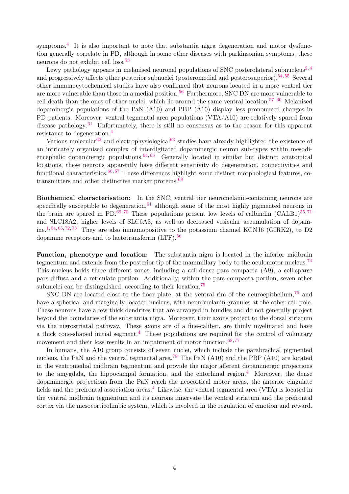symptoms.<sup>[4](#page-15-3)</sup> It is also important to note that substantia nigra degeneration and motor dysfunction generally correlate in PD, although in some other diseases with parkinsonian symptoms, these neurons do not exhibit cell loss.<sup>[53](#page-18-6)</sup>

Lewy pathology appears in melanised neuronal populations of SNC posterolateral subnucleus<sup>[2,](#page-15-1)[4](#page-15-3)</sup> and progressively affects other posterior subnuclei (posteromedial and posterosuperior).<sup>[54,](#page-18-7) [55](#page-18-8)</sup> Several other immunocytochemical studies have also confirmed that neurons located in a more ventral tier are more vulnerable than those in a medial position.<sup>[56](#page-18-9)</sup> Furthermore, SNC DN are more vulnerable to cell death than the ones of other nuclei, which lie around the same ventral location.[57–](#page-18-10)[60](#page-18-11) Melanised dopaminergic populations of the PaN (A10) and PBP (A10) display less pronounced changes in PD patients. Moreover, ventral tegmental area populations (VTA/A10) are relatively spared from disease pathology.<sup>[61](#page-18-12)</sup> Unfortunately, there is still no consensus as to the reason for this apparent resistance to degeneration.[4](#page-15-3)

Various molecular<sup>[62](#page-18-13)</sup> and electrophysiological<sup>[63](#page-19-0)</sup> studies have already highlighted the existence of an intricately organised complex of interdigitated dopaminergic neuron sub-types within mesodiencephalic dopaminergic populations.  $64, 65$  $64, 65$  $64, 65$  Generally located in similar but distinct anatomical locations, these neurons apparently have different sensitivity do degeneration, connectivities and functional characteristics.<sup>[66,](#page-19-3) [67](#page-19-4)</sup> These differences highlight some distinct morphological features, cotransmitters and other distinctive marker proteins.[68](#page-19-5)

Biochemical characterisation: In the SNC, ventral tier neuromelanin-containing neurons are specifically susceptible to degeneration, $61$  although some of the most highly pigmented neurons in the brain are spared in PD.<sup>[69,](#page-19-6)[70](#page-19-7)</sup> These populations present low levels of calbindin (CALB1)<sup>[55,](#page-18-8)[71](#page-19-8)</sup> and SLC18A2, higher levels of SLC6A3, as well as decreased vesicular accumulation of dopam-ine.<sup>[1,](#page-15-0) [54,](#page-18-7) [65,](#page-19-2) [72,](#page-19-9) [73](#page-19-10)</sup> They are also immunopositive to the potassium channel KCNJ6 (GIRK2), to D2 dopamine receptors and to lactotransferrin (LTF).<sup>[56](#page-18-9)</sup>

Function, phenotype and location: The substantia nigra is located in the inferior midbrain tegmentum and extends from the posterior tip of the mammillary body to the oculomotor nucleus.<sup>[74](#page-19-11)</sup> This nucleus holds three different zones, including a cell-dense pars compacta (A9), a cell-sparse pars diffusa and a reticulate portion. Additionally, within the pars compacta portion, seven other subnuclei can be distinguished, according to their location.<sup>[75](#page-19-12)</sup>

SNC DN are located close to the floor plate, at the ventral rim of the neuroepithelium,<sup>[76](#page-19-13)</sup> and have a spherical and marginally located nucleus, with neuromelanin granules at the other cell pole. These neurons have a few thick dendrites that are arranged in bundles and do not generally project beyond the boundaries of the substantia nigra. Moreover, their axons project to the dorsal striatum via the nigrostriatal pathway. These axons are of a fine-caliber, are thinly myelinated and have a thick cone-shaped initial segment.<sup>[4](#page-15-3)</sup> These populations are required for the control of voluntary movement and their loss results in an impairment of motor function. $68,77$  $68,77$ 

In humans, the A10 group consists of seven nuclei, which include the parabrachial pigmented nucleus, the PaN and the ventral tegmental area.<sup>[78](#page-20-1)</sup> The PaN  $(A10)$  and the PBP  $(A10)$  are located in the ventromedial midbrain tegmentum and provide the major afferent dopaminergic projections to the amygdala, the hippocampal formation, and the entorhinal region.<sup>[4](#page-15-3)</sup> Moreover, the dense dopaminergic projections from the PaN reach the neocortical motor areas, the anterior cingulate fields and the prefrontal association areas.<sup>[4](#page-15-3)</sup> Likewise, the ventral tegmental area (VTA) is located in the ventral midbrain tegmentum and its neurons innervate the ventral striatum and the prefrontal cortex via the mesocorticolimbic system, which is involved in the regulation of emotion and reward.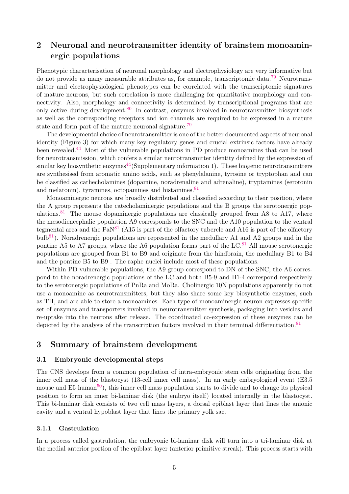# 2 Neuronal and neurotransmitter identity of brainstem monoaminergic populations

Phenotypic characterisation of neuronal morphology and electrophysiology are very informative but do not provide as many measurable attributes as, for example, transcriptomic data.[79](#page-20-2) Neurotransmitter and electrophysiological phenotypes can be correlated with the transcriptomic signatures of mature neurons, but such correlation is more challenging for quantitative morphology and connectivity. Also, morphology and connectivity is determined by transcriptional programs that are only active during development. $80$  In contrast, enzymes involved in neurotransmitter biosynthesis as well as the corresponding receptors and ion channels are required to be expressed in a mature state and form part of the mature neuronal signature.<sup>[79](#page-20-2)</sup>

The developmental choice of neurotransmitter is one of the better documented aspects of neuronal identity (Figure 3) for which many key regulatory genes and crucial extrinsic factors have already been revealed.[44](#page-17-10) Most of the vulnerable populations in PD produce monoamines that can be used for neurotransmission, which confers a similar neurotransmitter identity defined by the expression of similar key biosynthetic enzymes $44$ (Supplementary information 1). These biogenic neurotransmitters are synthesised from aromatic amino acids, such as phenylalanine, tyrosine or tryptophan and can be classified as cathecholamines (dopamine, noradrenaline and adrenaline), tryptamines (serotonin and melatonin), tyramines, octopamines and histamines.<sup>[81](#page-20-4)</sup>

Monoaminergic neurons are broadly distributed and classified according to their position, where the A group represents the catecholaminergic populations and the B groups the serotonergic pop-ulations.<sup>[81](#page-20-4)</sup> The mouse dopaminergic populations are classically grouped from A8 to A17, where the mesodiencephalic population A9 corresponds to the SNC and the A10 population to the ventral tegmental area and the  $PaN^{81}$  $PaN^{81}$  $PaN^{81}$  (A15 is part of the olfactory tubercle and A16 is part of the olfactory bulb<sup>[81](#page-20-4)</sup>). Noradrenergic populations are represented in the medullary A1 and A2 groups and in the pontine A5 to A7 groups, where the A6 population forms part of the  $LC<sup>81</sup>$  $LC<sup>81</sup>$  $LC<sup>81</sup>$  All mouse serotonergic populations are grouped from B1 to B9 and originate from the hindbrain, the medullary B1 to B4 and the pontine B5 to B9 . The raphe nuclei include most of these populations.

Within PD vulnerable populations, the A9 group correspond to DN of the SNC, the A6 correspond to the noradrenergic populations of the LC and both B5-9 and B1-4 correspond respectively to the serotonergic populations of PnRa and MoRa. Cholinergic 10N populations apparently do not use a monoamine as neurotransmitters, but they also share some key biosynthetic enzymes, such as TH, and are able to store a monoamines. Each type of monoaminergic neuron expresses specific set of enzymes and transporters involved in neurotransmitter synthesis, packaging into vesicles and re-uptake into the neurons after release. The coordinated co-expression of these enzymes can be depicted by the analysis of the transcription factors involved in their terminal differentiation.<sup>[81](#page-20-4)</sup>

## 3 Summary of brainstem development

#### 3.1 Embryonic developmental steps

The CNS develops from a common population of intra-embryonic stem cells originating from the inner cell mass of the blastocyst (13-cell inner cell mass). In an early embryological event (E3.5 mouse and E5 human<sup>[50](#page-18-3)</sup>), this inner cell mass population starts to divide and to change its physical position to form an inner bi-laminar disk (the embryo itself) located internally in the blastocyst. This bi-laminar disk consists of two cell mass layers, a dorsal epiblast layer that lines the anionic cavity and a ventral hypoblast layer that lines the primary yolk sac.

#### 3.1.1 Gastrulation

In a process called gastrulation, the embryonic bi-laminar disk will turn into a tri-laminar disk at the medial anterior portion of the epiblast layer (anterior primitive streak). This process starts with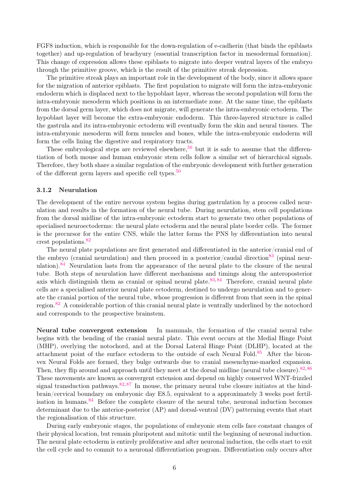FGF8 induction, which is responsible for the down-regulation of e-cadherin (that binds the epiblasts together) and up-regulation of brachyury (essential transcription factor in mesodermal formation). This change of expression allows these epiblasts to migrate into deeper ventral layers of the embryo through the primitive groove, which is the result of the primitive streak depression.

The primitive streak plays an important role in the development of the body, since it allows space for the migration of anterior epiblasts. The first population to migrate will form the intra-embryonic endoderm which is displaced next to the hypoblast layer, whereas the second population will form the intra-embryonic mesoderm which positions in an intermediate zone. At the same time, the epiblasts from the dorsal germ layer, which does not migrate, will generate the intra-embryonic ectoderm. The hypoblast layer will become the extra-embryonic endoderm. This three-layered structure is called the gastrula and its intra-embryonic ectoderm will eventually form the skin and neural tissues. The intra-embryonic mesoderm will form muscles and bones, while the intra-embryonic endoderm will form the cells lining the digestive and respiratory tracts.

These embryological steps are reviewed elsewhere,<sup>[50](#page-18-3)</sup> but it is safe to assume that the differentiation of both mouse and human embryonic stem cells follow a similar set of hierarchical signals. Therefore, they both share a similar regulation of the embryonic development with further generation of the different germ layers and specific cell types.<sup>[50](#page-18-3)</sup>

#### 3.1.2 Neurulation

The development of the entire nervous system begins during gastrulation by a process called neurulation and results in the formation of the neural tube. During neurulation, stem cell populations from the dorsal midline of the intra-embryonic ectoderm start to generate two other populations of specialised neuroectoderms: the neural plate ectoderm and the neural plate border cells. The former is the precursor for the entire CNS, while the latter forms the PNS by differentiation into neural crest populations.[82](#page-20-5)

The neural plate populations are first generated and differentiated in the anterior/cranial end of the embryo (cranial neurulation) and then proceed in a posterior/caudal direction<sup>[83](#page-20-6)</sup> (spinal neur-ulation).<sup>[84](#page-20-7)</sup> Neurulation lasts from the appearance of the neural plate to the closure of the neural tube. Both steps of neurulation have different mechanisms and timings along the anteroposterior axis which distinguish them as cranial or spinal neural plate.<sup>[83,](#page-20-6) [84](#page-20-7)</sup> Therefore, cranial neural plate cells are a specialised anterior neural plate ectoderm, destined to undergo neurulation and to generate the cranial portion of the neural tube, whose progression is different from that seen in the spinal region.[82](#page-20-5) A considerable portion of this cranial neural plate is ventrally underlined by the notochord and corresponds to the prospective brainstem.

Neural tube convergent extension In mammals, the formation of the cranial neural tube begins with the bending of the cranial neural plate. This event occurs at the Medial Hinge Point (MHP), overlying the notochord, and at the Dorsal Lateral Hinge Point (DLHP), located at the attachment point of the surface ectoderm to the outside of each Neural Fold.[85](#page-20-8) After the biconvex Neural Folds are formed, they bulge outwards due to cranial mesenchyme-marked expansion. Then, they flip around and approach until they meet at the dorsal midline (neural tube closure).<sup>[82,](#page-20-5) [86](#page-20-9)</sup> These movements are known as convergent extension and depend on highly conserved WNT-frizzled signal transduction pathways.  $82, 87$  $82, 87$  $82, 87$  In mouse, the primary neural tube closure initiates at the hindbrain/cervical boundary on embryonic day E8.5, equivalent to a approximately 3 weeks post fertil-isation in humans.<sup>[84](#page-20-7)</sup> Before the complete closure of the neural tube, neuronal induction becomes determinant due to the anterior-posterior (AP) and dorsal-ventral (DV) patterning events that start the regionalisation of this structure.

During early embryonic stages, the populations of embryonic stem cells face constant changes of their physical location, but remain pluripotent and mitotic until the beginning of neuronal induction. The neural plate ectoderm is entirely proliferative and after neuronal induction, the cells start to exit the cell cycle and to commit to a neuronal differentiation program. Differentiation only occurs after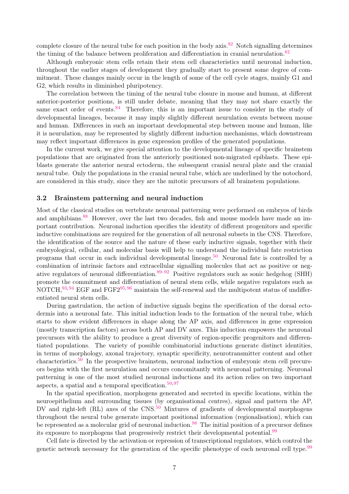complete closure of the neural tube for each position in the body axis.<sup>[82](#page-20-5)</sup> Notch signalling determines the timing of the balance between proliferation and differentiation in cranial neurulation.<sup>[82](#page-20-5)</sup>

Although embryonic stem cells retain their stem cell characteristics until neuronal induction, throughout the earlier stages of development they gradually start to present some degree of commitment. These changes mainly occur in the length of some of the cell cycle stages, mainly G1 and G2, which results in diminished pluripotency.

The correlation between the timing of the neural tube closure in mouse and human, at different anterior-posterior positions, is still under debate, meaning that they may not share exactly the same exact order of events.<sup>[84](#page-20-7)</sup> Therefore, this is an important issue to consider in the study of developmental lineages, because it may imply slightly different neurulation events between mouse and human. Differences in such an important developmental step between mouse and human, like it is neurulation, may be represented by slightly different induction mechanisms, which downstream may reflect important differences in gene expression profiles of the generated populations.

In the current work, we give special attention to the developmental lineage of specific brainstem populations that are originated from the anteriorly positioned non-migrated epiblasts. These epiblasts generate the anterior neural ectoderm, the subsequent cranial neural plate and the cranial neural tube. Only the populations in the cranial neural tube, which are underlined by the notochord, are considered in this study, since they are the mitotic precursors of all brainstem populations.

#### 3.2 Brainstem patterning and neural induction

Most of the classical studies on vertebrate neuronal patterning were performed on embryos of birds and amphibians.<sup>[88](#page-20-11)</sup> However, over the last two decades, fish and mouse models have made an important contribution. Neuronal induction specifies the identity of different progenitors and specific inductive combinations are required for the generation of all neuronal subsets in the CNS. Therefore, the identification of the source and the nature of these early inductive signals, together with their embryological, cellular, and molecular basis will help to understand the individual fate restriction programs that occur in each individual developmental lineage.<sup>[50](#page-18-3)</sup> Neuronal fate is controlled by a combination of intrinsic factors and extracellular signalling molecules that act as positive or neg-ative regulators of neuronal differentiation.<sup>[89](#page-20-12)[–92](#page-20-13)</sup> Positive regulators such as sonic hedgehog (SHH) promote the commitment and differentiation of neural stem cells, while negative regulators such as NOTCH,<sup>[93,](#page-20-14) [94](#page-21-0)</sup> EGF and FGF2<sup>[95,](#page-21-1) [96](#page-21-2)</sup> maintain the self-renewal and the multipotent status of undifferentiated neural stem cells.

During gastrulation, the action of inductive signals begins the specification of the dorsal ectodermis into a neuronal fate. This initial induction leads to the formation of the neural tube, which starts to show evident differences in shape along the AP axis, and differences in gene expression (mostly transcription factors) across both AP and DV axes. This induction empowers the neuronal precursors with the ability to produce a great diversity of region-specific progenitors and differentiated populations. The variety of possible combinatorial inductions generate distinct identities, in terms of morphology, axonal trajectory, synaptic specificity, neurotransmitter content and other characteristics.[50](#page-18-3) In the prospective brainstem, neuronal induction of embryonic stem cell precursors begins with the first neurulation and occurs concomitantly with neuronal patterning. Neuronal patterning is one of the most studied neuronal inductions and its action relies on two important aspects, a spatial and a temporal specification. $50,97$  $50,97$ 

In the spatial specification, morphogens generated and secreted in specific locations, within the neuroepithelium and surrounding tissues (by organisational centres), signal and pattern the AP, DV and right-left (RL) axes of the CNS.<sup>[50](#page-18-3)</sup> Mixtures of gradients of developmental morphogens throughout the neural tube generate important positional information (regionalisation), which can be represented as a molecular grid of neuronal induction.<sup>[98](#page-21-4)</sup> The initial position of a precursor defines its exposure to morphogens that progressively restrict their developmental potential.[99](#page-21-5)

Cell fate is directed by the activation or repression of transcriptional regulators, which control the genetic network necessary for the generation of the specific phenotype of each neuronal cell type.<sup>[99](#page-21-5)</sup>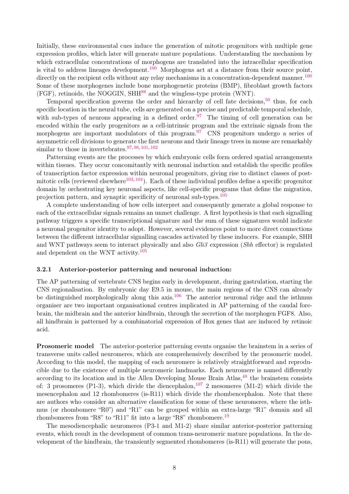Initially, these environmental cues induce the generation of mitotic progenitors with multiple gene expression profiles, which later will generate mature populations. Understanding the mechanism by which extracellular concentrations of morphogens are translated into the intracellular specification is vital to address lineages development.<sup>[100](#page-21-6)</sup> Morphogens act at a distance from their source point, directly on the recipient cells without any relay mechanisms in a concentration-dependent manner.<sup>[100](#page-21-6)</sup> Some of these morphogenes include bone morphogenetic proteins (BMP), fibroblast growth factors (FGF), retinoids, the NOGGIN, SHH[88](#page-20-11) and the wingless-type protein (WNT).

Temporal specification governs the order and hierarchy of cell fate decisions,  $50$  thus, for each specific location in the neural tube, cells are generated on a precise and predictable temporal schedule, with sub-types of neurons appearing in a defined order.<sup>[97](#page-21-3)</sup> The timing of cell generation can be encoded within the early progenitors as a cell-intrinsic program and the extrinsic signals from the morphogens are important modulators of this program.<sup>[97](#page-21-3)</sup> CNS progenitors undergo a series of asymmetric cell divisions to generate the first neurons and their lineage trees in mouse are remarkably similar to those in invertebrates.<sup>[97,](#page-21-3) [98,](#page-21-4) [101,](#page-21-7) [102](#page-21-8)</sup>

Patterning events are the processes by which embryonic cells form ordered spatial arrangements within tissues. They occur concomitantly with neuronal induction and establish the specific profiles of transcription factor expression within neuronal progenitors, giving rise to distinct classes of post-mitotic cells (reviewed elsewhere<sup>[103,](#page-21-9) [104](#page-21-10)</sup>). Each of these individual profiles define a specific progenitor domain by orchestrating key neuronal aspects, like cell-specific programs that define the migration, projection pattern, and synaptic specificity of neuronal sub-types.[105](#page-21-11)

A complete understanding of how cells interpret and consequently generate a global response to each of the extracellular signals remains an unmet challenge. A first hypothesis is that each signalling pathway triggers a specific transcriptional signature and the sum of these signatures would indicate a neuronal progenitor identity to adopt. However, several evidences point to more direct connections between the different intracellular signalling cascades activated by these inducers. For example, SHH and WNT pathways seem to interact physically and also *Gli3* expression (*Shh* effector) is regulated and dependent on the WNT activity.[105](#page-21-11)

#### 3.2.1 Anterior-posterior patterning and neuronal induction:

The AP patterning of vertebrate CNS begins early in development, during gastrulation, starting the CNS regionalisation. By embryonic day E9.5 in mouse, the main regions of the CNS can already be distinguished morphologically along this axis.<sup>[106](#page-21-12)</sup> The anterior neuronal ridge and the isthmus organiser are two important organisational centres implicated in AP patterning of the caudal forebrain, the midbrain and the anterior hindbrain, through the secretion of the morphogen FGF8. Also, all hindbrain is patterned by a combinatorial expression of Hox genes that are induced by retinoic acid.

Prosomeric model The anterior-posterior patterning events organise the brainstem in a series of transverse units called neuromeres, which are comprehensively described by the prosomeric model. According to this model, the mapping of each neuromere is relatively straightforward and reproducible due to the existence of multiple neuromeric landmarks. Each neuromere is named differently according to its location and in the Allen Developing Mouse Brain Atlas, <sup>[48](#page-18-1)</sup> the brainstem consists of: 3 prosomeres (P1-3), which divide the diencephalon,<sup>[107](#page-21-13)</sup> 2 mesomeres (M1-2) which divide the mesencephalon and 12 rhombomeres (is-R11) which divide the rhombencephalon. Note that there are authors who consider an alternative classification for some of these neuromeres, where the isthmus (or rhombomere "R0") and "R1" can be grouped within an extra-large "R1" domain and all rhombomeres from "R8" to "R11" fit into a large "R8" rhombomere.<sup>[19](#page-16-3)</sup>

The mesodiencephalic neuromeres (P3-1 and M1-2) share similar anterior-posterior patterning events, which result in the development of common trans-neuromeric mature populations. In the development of the hindbrain, the transiently segmented rhombomeres (is-R11) will generate the pons,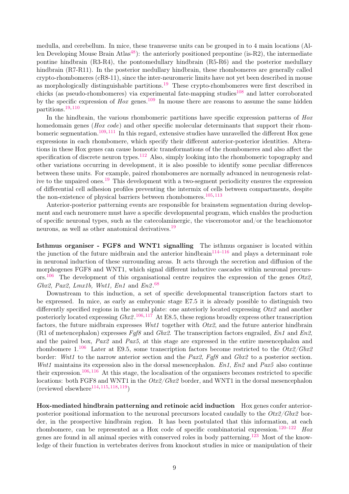medulla, and cerebellum. In mice, these transverse units can be grouped in to 4 main locations (Al-len Developing Mouse Brain Atlas<sup>[48](#page-18-1)</sup>): the anteriorly positioned prepontine (is-R2), the intermediate pontine hindbrain (R3-R4), the pontomedullary hindbrain (R5-R6) and the posterior medullary hindbrain (R7-R11). In the posterior medullary hindbrain, these rhombomeres are generally called crypto-rhombomeres (cR8-11), since the inter-neuromeric limits have not yet been described in mouse as morphologically distinguishable partitions.<sup>[19](#page-16-3)</sup> These crypto-rhombomeres were first described in chicks (as pseudo-rhombomeres) via experimental fate-mapping studies<sup>[108](#page-21-14)</sup> and latter corroborated by the specific expression of  $H\alpha x$  genes.<sup>[109](#page-21-15)</sup> In mouse there are reasons to assume the same hidden partitions.[19,](#page-16-3) [110](#page-21-16)

In the hindbrain, the various rhombomeric partitions have specific expression patterns of  $H\!o x$ homedomain genes (Hox code) and other specific molecular determinants that support their rhom-bomeric segmentation.<sup>[109,](#page-21-15) [111](#page-22-0)</sup> In this regard, extensive studies have unravelled the different Hox gene expressions in each rhombomere, which specify their different anterior-posterior identities. Alterations in these Hox genes can cause homeotic transformations of the rhombomeres and also affect the specification of discrete neuron types.<sup>[112](#page-22-1)</sup> Also, simply looking into the rhombomeric topography and other variations occurring in development, it is also possible to identify some peculiar differences between these units. For example, paired rhombomeres are normally advanced in neurogenesis relative to the unpaired ones.[19](#page-16-3) This development with a two-segment periodicity ensures the expression of differential cell adhesion profiles preventing the intermix of cells between compartments, despite the non-existence of physical barriers between rhombomeres.<sup>[105,](#page-21-11) [113](#page-22-2)</sup>

Anterior-posterior patterning events are responsible for brainstem segmentation during development and each neuromere must have a specific developmental program, which enables the production of specific neuronal types, such as the catecolaminergic, the visceromotor and/or the brachiomotor neurons, as well as other anatomical derivatives.[19](#page-16-3)

Isthmus organiser - FGF8 and WNT1 signalling The isthmus organiser is located within the junction of the future midbrain and the anterior hindbrain<sup>[114](#page-22-3)[–116](#page-22-4)</sup> and plays a determinant role in neuronal induction of these surrounding areas. It acts through the secretion and diffusion of the morphogenes FGF8 and WNT1, which signal different inductive cascades within neuronal precurs-ors.<sup>[106](#page-21-12)</sup> The development of this organisational centre requires the expression of the genes  $Otx2$ , Gbx2, Pax2, Lmx1b, Wnt1, En1 and En2. $68$ 

Downstream to this induction, a set of specific developmental transcription factors start to be expressed. In mice, as early as embryonic stage E7.5 it is already possible to distinguish two differently specified regions in the neural plate: one anteriorly located expressing  $Otx2$  and another posteriorly located expressing  $Gbx2$ .<sup>[106,](#page-21-12)[117](#page-22-5)</sup> At E8.5, these regions broadly express other transcription factors, the future midbrain expresses  $Wnt1$  together with  $Otx2$ , and the future anterior hindbrain (R1 of metencephalon) expresses  $Fqf8$  and  $Gbx2$ . The transcription factors engrailed,  $En1$  and  $En2$ , and the paired box, Pax2 and Pax5, at this stage are expressed in the entire mesencephalon and rhombomere 1.<sup>[106](#page-21-12)</sup> Later at E9.5, some transcription factors become restricted to the  $Otx2/Gbx2$ border: Wnt1 to the narrow anterior section and the Pax2, Faf8 and Gbx2 to a posterior section. Wnt1 maintains its expression also in the dorsal mesencephalon. En1, En2 and Pax5 also continue their expression.<sup>[106,](#page-21-12) [116](#page-22-4)</sup> At this stage, the localisation of the organisers becomes restricted to specific locations: both FGF8 and WNT1 in the  $Otx2/Gbx2$  border, and WNT1 in the dorsal mesencephalon  $(reviewed elsewhere<sup>114, 115, 118, 119</sup>)$  $(reviewed elsewhere<sup>114, 115, 118, 119</sup>)$  $(reviewed elsewhere<sup>114, 115, 118, 119</sup>)$  $(reviewed elsewhere<sup>114, 115, 118, 119</sup>)$  $(reviewed elsewhere<sup>114, 115, 118, 119</sup>)$  $(reviewed elsewhere<sup>114, 115, 118, 119</sup>)$  $(reviewed elsewhere<sup>114, 115, 118, 119</sup>)$  $(reviewed elsewhere<sup>114, 115, 118, 119</sup>)$  $(reviewed elsewhere<sup>114, 115, 118, 119</sup>)$ 

Hox-mediated hindbrain patterning and retinoic acid induction Hox genes confer anteriorposterior positional information to the neuronal precursors located caudally to the  $Otx2/Gbx2$  border, in the prospective hindbrain region. It has been postulated that this information, at each rhombomere, can be represented as a Hox code of specific combinatorial expression.<sup>[120](#page-22-9)[–122](#page-22-10)</sup> Hox genes are found in all animal species with conserved roles in body patterning.<sup>[123](#page-22-11)</sup> Most of the knowledge of their function in vertebrates derives from knockout studies in mice or manipulation of their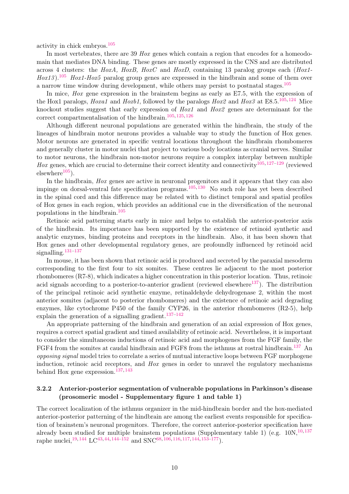activity in chick embryos.[105](#page-21-11)

In most vertebrates, there are 39 Hox genes which contain a region that encodes for a homeodomain that mediates DNA binding. These genes are mostly expressed in the CNS and are distributed across 4 clusters: the HoxA, HoxB, HoxC and HoxD, containing 13 paralog groups each  $(Hox1$ - $H\alpha xI3$ ).<sup>[105](#page-21-11)</sup> Hox1-Hox5 paralog group genes are expressed in the hindbrain and some of them over a narrow time window during development, while others may persist to postnatal stages.[105](#page-21-11)

In mice, Hox gene expression in the brainstem begins as early as E7.5, with the expression of the Hox1 paralogs, *Hoxa1* and *Hoxb1*, followed by the paralogs  $Hox2$  and  $Hox3$  at E8.5.<sup>[105,](#page-21-11)[124](#page-22-12)</sup> Mice knockout studies suggest that early expression of Hox1 and Hox2 genes are determinant for the correct compartmentalisation of the hindbrain.<sup>[105,](#page-21-11) [125,](#page-22-13) [126](#page-22-14)</sup>

Although different neuronal populations are generated within the hindbrain, the study of the lineages of hindbrain motor neurons provides a valuable way to study the function of Hox genes. Motor neurons are generated in specific ventral locations throughout the hindbrain rhombomeres and generally cluster in motor nuclei that project to various body locations as cranial nerves. Similar to motor neurons, the hindbrain non-motor neurons require a complex interplay between multiple Hox genes, which are crucial to determine their correct identity and connectivity<sup>[105,](#page-21-11) [127](#page-22-15)[–129](#page-23-0)</sup> (reviewed  $elsewhere<sup>105</sup>$  $elsewhere<sup>105</sup>$  $elsewhere<sup>105</sup>$ ).

In the hindbrain, *Hox* genes are active in neuronal progenitors and it appears that they can also impinge on dorsal-ventral fate specification programs.<sup>[105,](#page-21-11) [130](#page-23-1)</sup> No such role has yet been described in the spinal cord and this difference may be related with to distinct temporal and spatial profiles of Hox genes in each region, which provides an additional cue in the diversification of the neuronal populations in the hindbrain.[105](#page-21-11)

Retinoic acid patterning starts early in mice and helps to establish the anterior-posterior axis of the hindbrain. Its importance has been supported by the existence of retinoid synthetic and analytic enzymes, binding proteins and receptors in the hindbrain. Also, it has been shown that Hox genes and other developmental regulatory genes, are profoundly influenced by retinoid acid signalling. $131-137$  $131-137$ 

In mouse, it has been shown that retinoic acid is produced and secreted by the paraxial mesoderm corresponding to the first four to six somites. These centres lie adjacent to the most posterior rhombomeres (R7-8), which indicates a higher concentration in this posterior location. Thus, retinoic acid signals according to a posterior-to-anterior gradient (reviewed elsewhere $137$ ). The distribution of the principal retinoic acid synthetic enzyme, retinaldehyde dehydrogenase 2, within the most anterior somites (adjacent to posterior rhombomeres) and the existence of retinoic acid degrading enzymes, like cytochrome P450 of the family CYP26, in the anterior rhombomeres (R2-5), help explain the generation of a signalling gradient.<sup>[137](#page-23-3)-142</sup>

An appropriate patterning of the hindbrain and generation of an axial expression of Hox genes, requires a correct spatial gradient and timed availability of retinoic acid. Nevertheless, it is important to consider the simultaneous inductions of retinoic acid and morphogenes from the FGF family, the FGF4 from the somites at caudal hindbrain and FGF8 from the isthmus at rostral hindbrain.<sup>[137](#page-23-3)</sup> An opposing signal model tries to correlate a series of mutual interactive loops between FGF morphogene induction, retinoic acid receptors, and  $H\sigma x$  genes in order to unravel the regulatory mechanisms behind Hox gene expression.[137,](#page-23-3) [143](#page-24-0)

#### 3.2.2 Anterior-posterior segmentation of vulnerable populations in Parkinson's disease (prosomeric model - Supplementary figure 1 and table 1)

The correct localization of the isthmus organizer in the mid-hindbrain border and the hox-mediated anterior-posterior patterning of the hindbrain are among the earliest events responsible for specification of brainstem's neuronal progenitors. Therefore, the correct anterior-posterior specification have already been studied for multiple brainstem populations (Supplementary table 1) (e.g.  $10N<sub>1</sub>^{10,137}$  $10N<sub>1</sub>^{10,137}$  $10N<sub>1</sub>^{10,137}$  $10N<sub>1</sub>^{10,137}$ raphe nuclei,<sup>[19,](#page-16-3) [144](#page-24-1)</sup> LC<sup>[43,](#page-17-11) [44,](#page-17-10) [144–](#page-24-1)[152](#page-24-2)</sup> and SNC<sup>[68,](#page-19-5) [106,](#page-21-12) [116,](#page-22-4) [117,](#page-22-5) 144</sub>, [153](#page-24-3)[–177](#page-26-0)).</sup>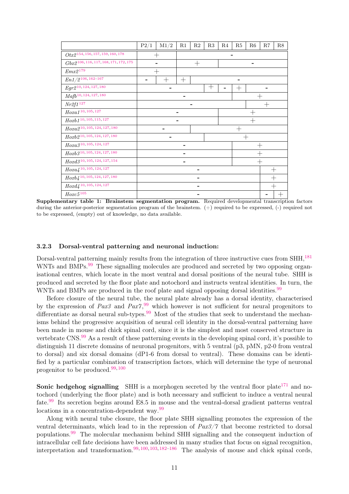|                                                       | P2/1 | M1/2   | R1  | R2                               | R3   | R4 | R5                 | R6     | R7 | R8 |  |  |  |
|-------------------------------------------------------|------|--------|-----|----------------------------------|------|----|--------------------|--------|----|----|--|--|--|
| $Otx2^{154,156,157,159,160,178}$                      |      |        |     |                                  |      |    |                    |        |    |    |  |  |  |
| $Gbx2^{106, 116, 117, 168, 171, 172, 175}$            |      |        |     | $\hspace{0.1mm} +\hspace{0.1mm}$ |      |    |                    |        |    |    |  |  |  |
| $Emx2^{179}$                                          |      |        |     |                                  |      |    |                    |        |    |    |  |  |  |
| $En1/2^{106, \, 162-167}$                             | -    | $^{+}$ | $+$ |                                  |      |    |                    |        |    |    |  |  |  |
| $Egr2^{10, 124, 127, 180}$                            |      |        |     |                                  | $^+$ |    | $\hspace{0.1mm} +$ |        |    |    |  |  |  |
| $\text{Mafb}^{10,124,127,\overline{180}}$             |      |        |     |                                  |      |    |                    |        |    |    |  |  |  |
| Nr2f1 <sup>127</sup>                                  |      |        |     |                                  |      |    |                    | $^{+}$ |    |    |  |  |  |
| $Hoxa1^{10, 105, 127}$                                |      |        |     |                                  |      |    |                    |        |    |    |  |  |  |
| $Hoxb1^{10, 105, 115, 127}$                           |      |        | ۰   |                                  |      |    |                    |        |    |    |  |  |  |
| $Hoxa2^{10, 105, 124, 127, 180}$                      |      |        |     |                                  |      |    |                    |        |    |    |  |  |  |
| $Hoxb2^{10, 105, 124, 127, 180}$                      |      |        |     |                                  |      |    |                    | $^+$   |    |    |  |  |  |
| $\mathcal{H}oxa3^{10, \, 105, \, 124, \, 127}$        |      |        |     |                                  |      |    |                    |        |    |    |  |  |  |
| $Hoxb3^{10, 105, 124, 127, 180}$                      |      |        |     |                                  |      |    |                    |        |    |    |  |  |  |
| $\textit{Hoxd3}^{10, \, 105, \, 124, \, 127, \, 154}$ |      |        |     |                                  |      |    |                    | $^{+}$ |    |    |  |  |  |
| $\mathit{Hoxa4}^{\, 10,\, 105,\, 124,\, 127}$         |      |        |     |                                  |      |    |                    |        |    |    |  |  |  |
| $Hoxb4^{10, 105, 124, 127, 180}$                      |      |        |     |                                  |      |    |                    |        |    |    |  |  |  |
| $Hoxd4^{10, 105, 124, 127}$                           |      |        |     |                                  |      |    |                    |        |    |    |  |  |  |
| $Hoxc5^{\,105}$                                       |      |        |     |                                  |      |    |                    |        |    |    |  |  |  |

Supplementary table 1: Brainstem segmentation program. Required developmental transcription factors during the anterior-posterior segmentation program of the brainstem. (+) required to be expressed, (-) required not to be expressed, (empty) out of knowledge, no data available.

#### 3.2.3 Dorsal-ventral patterning and neuronal induction:

Dorsal-ventral patterning mainly results from the integration of three instructive cues from SHH,[181](#page-26-5) WNTs and BMPs.<sup>[99](#page-21-5)</sup> These signalling molecules are produced and secreted by two opposing organisational centres, which locate in the most ventral and dorsal positions of the neural tube. SHH is produced and secreted by the floor plate and notochord and instructs ventral identities. In turn, the WNTs and BMPs are produced in the roof plate and signal opposing dorsal identities.<sup>[99](#page-21-5)</sup>

Before closure of the neural tube, the neural plate already has a dorsal identity, characterised by the expression of  $Pax3$  and  $Pax7$ , <sup>[99](#page-21-5)</sup> which however is not sufficient for neural progenitors to differentiate as dorsal neural sub-types.<sup>[99](#page-21-5)</sup> Most of the studies that seek to understand the mechanisms behind the progressive acquisition of neural cell identity in the dorsal-ventral patterning have been made in mouse and chick spinal cord, since it is the simplest and most conserved structure in vertebrate CNS.<sup>[99](#page-21-5)</sup> As a result of these patterning events in the developing spinal cord, it's possible to distinguish 11 discrete domains of neuronal progenitors, with 5 ventral (p3, pMN, p2-0 from ventral to dorsal) and six dorsal domains (dP1-6 from dorsal to ventral). These domains can be identified by a particular combination of transcription factors, which will determine the type of neuronal progenitor to be produced.[99,](#page-21-5) [100](#page-21-6)

**Sonic hedgehog signalling** SHH is a morphogen secreted by the ventral floor plate<sup>[171](#page-25-3)</sup> and notochord (underlying the floor plate) and is both necessary and sufficient to induce a ventral neural fate.[99](#page-21-5) Its secretion begins around E8.5 in mouse and the ventral-dorsal gradient patterns ventral locations in a concentration-dependent way.<sup>[99](#page-21-5)</sup>

Along with neural tube closure, the floor plate SHH signalling promotes the expression of the ventral determinants, which lead to in the repression of Pax3/7 that become restricted to dorsal populations.[99](#page-21-5) The molecular mechanism behind SHH signalling and the consequent induction of intracellular cell fate decisions have been addressed in many studies that focus on signal recognition, interpretation and transformation.<sup>[99,](#page-21-5) [100,](#page-21-6) [103,](#page-21-9) [182–](#page-26-6)[186](#page-26-7)</sup> The analysis of mouse and chick spinal cords,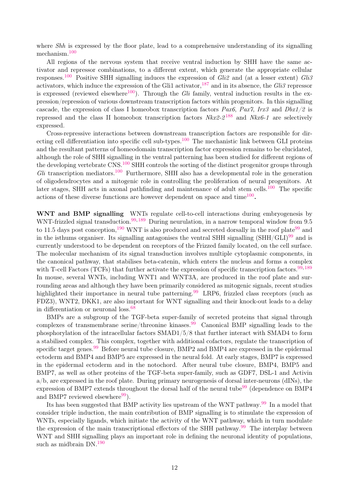where *Shh* is expressed by the floor plate, lead to a comprehensive understanding of its signalling mechanism.[100](#page-21-6)

All regions of the nervous system that receive ventral induction by SHH have the same activator and repressor combinations, to a different extent, which generate the appropriate cellular responses.<sup>[100](#page-21-6)</sup> Positive SHH signalling induces the expression of Gli<sub>2</sub> and (at a lesser extent) Gli<sub>3</sub> activators, which induce the expression of the Gli1 activator,  $^{187}$  $^{187}$  $^{187}$  and in its absence, the Gli3 repressor is expressed (reviewed elsewhere<sup>[100](#page-21-6)</sup>). Through the Gli family, ventral induction results in the expression/repression of various downstream transcription factors within progenitors. In this signalling cascade, the expression of class I homeobox transcription factors Pax6, Pax7, Irx3 and Dbx1/2 is repressed and the class II homeobox transcription factors  $Nkx2-2^{188}$  $Nkx2-2^{188}$  $Nkx2-2^{188}$  and  $Nkx6-1$  are selectively expressed.

Cross-repressive interactions between downstream transcription factors are responsible for dir-ecting cell differentiation into specific cell sub-types.<sup>[100](#page-21-6)</sup> The mechanistic link between GLI proteins and the resultant patterns of homeodomain transcription factor expression remains to be elucidated, although the role of SHH signalling in the ventral patterning has been studied for different regions of the developing vertebrate CNS.<sup>[100](#page-21-6)</sup> SHH controls the sorting of the distinct progenitor groups through  $Gli$  transcription mediators.<sup>[100](#page-21-6)</sup> Furthermore, SHH also has a developmental role in the generation of oligodendrocytes and a mitogenic role in controlling the proliferation of neural progenitors. At later stages, SHH acts in axonal pathfinding and maintenance of adult stem cells.<sup>[100](#page-21-6)</sup> The specific actions of these diverse functions are however dependent on space and  $time^{100}$  $time^{100}$  $time^{100}$ .

WNT and BMP signalling WNTs regulate cell-to-cell interactions during embryogenesis by WNT-frizzled signal transduction.<sup>[99,](#page-21-5) [189](#page-27-0)</sup> During neurulation, in a narrow temporal window from 9.5 to 11.5 days post conception,<sup>[190](#page-27-1)</sup> WNT is also produced and secreted dorsally in the roof plate<sup>[99](#page-21-5)</sup> and in the isthums organiser. Its signalling antagonises the ventral SHH signalling  $(SHH/GLI)^{99}$  $(SHH/GLI)^{99}$  $(SHH/GLI)^{99}$  and is currently understood to be dependent on receptors of the Frizzed family located, on the cell surface. The molecular mechanism of its signal transduction involves multiple cytoplasmic components, in the canonical pathway, that stabilises beta-catenin, which enters the nucleus and forms a complex with T-cell Factors (TCFs) that further activate the expression of specific transcription factors.  $99,189$  $99,189$ In mouse, several WNTs, including WNT1 and WNT3A, are produced in the roof plate and surrounding areas and although they have been primarily considered as mitogenic signals, recent studies highlighted their importance in neural tube patterning.<sup>[99](#page-21-5)</sup> LRP6, frizzled class receptors (such as FDZ3), WNT2, DKK1, are also important for WNT signalling and their knock-out leads to a delay in differentiation or neuronal loss.[68](#page-19-5)

BMPs are a subgroup of the TGF-beta super-family of secreted proteins that signal through complexes of transmembrane serine/threonine kinases.<sup>[99](#page-21-5)</sup> Canonical BMP signalling leads to the phosphorylation of the intracellular factors SMAD1/5/8 that further interact with SMAD4 to form a stabilised complex. This complex, together with additional cofactors, regulate the transcription of specific target genes.<sup>[99](#page-21-5)</sup> Before neural tube closure, BMP2 and BMP4 are expressed in the epidermal ectoderm and BMP4 and BMP5 are expressed in the neural fold. At early stages, BMP7 is expressed in the epidermal ectoderm and in the notochord. After neural tube closure, BMP4, BMP5 and BMP7, as well as other proteins of the TGF-beta super-family, such as GDF7, DSL-1 and Activin a/b, are expressed in the roof plate. During primary neurogenesis of dorsal inter-neurons (dINs), the expression of BMP7 extends throughout the dorsal half of the neural tube<sup>[99](#page-21-5)</sup> (dependence on BMP4 and BMP7 reviewed elsewhere $99$ .

Its has been suggested that BMP activity lies upstream of the WNT pathway.<sup>[99](#page-21-5)</sup> In a model that consider triple induction, the main contribution of BMP signalling is to stimulate the expression of WNTs, especially ligands, which initiate the activity of the WNT pathway, which in turn modulate the expression of the main transcriptional effectors of the SHH pathway.<sup>[99](#page-21-5)</sup> The interplay between WNT and SHH signalling plays an important role in defining the neuronal identity of populations, such as midbrain DN.<sup>[190](#page-27-1)</sup>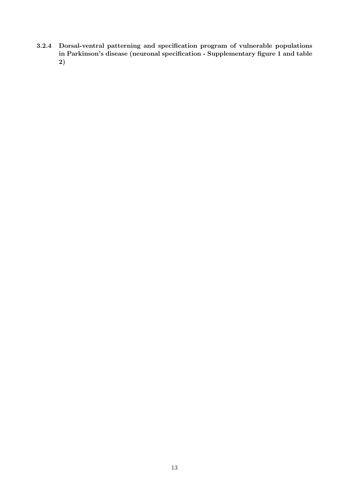3.2.4 Dorsal-ventral patterning and specification program of vulnerable populations in Parkinson's disease (neuronal specification - Supplementary figure 1 and table 2)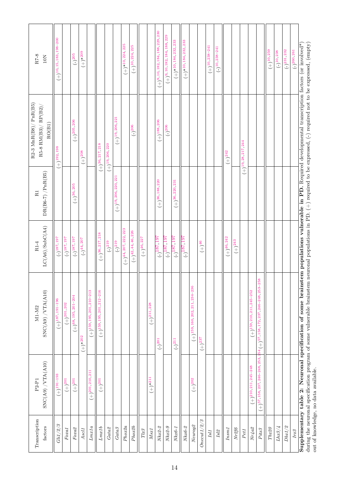| $R7-8$<br>$10N$                                               | $(+)$ <sup>10</sup> , <sup>15</sup> , <sup>183</sup> , <sup>198-200</sup> |                                                                               | $(-)^{205}$                       | $(+)^*{}^{209}$ |                                |                              |                        |                         | $(+)^{*10,224,225}$                | $(+)$ <sup>10</sup> , 224, 225 |                 |                                   | $(+)^9, 10, 182, 184, 188, 229, 230$ | $(+)^9, 10, 182, 184, 188, 229$ | $(+)^{*10,184,232,233}$ | $(+)^{*10,184,232,233}$ |                                 |                     | $(+)^{10, 238-241}$ | $(-)^{10, 238 - 241}$ |                |             |                        |                                     |                                                 | $(+)^{10,259}$    | $(-)^{10,238}$ | $(-)^{231, 232}$  | $(-)^{260,261}$       |                                                                                                                                                                                                                                                                                                                                            |
|---------------------------------------------------------------|---------------------------------------------------------------------------|-------------------------------------------------------------------------------|-----------------------------------|-----------------|--------------------------------|------------------------------|------------------------|-------------------------|------------------------------------|--------------------------------|-----------------|-----------------------------------|--------------------------------------|---------------------------------|-------------------------|-------------------------|---------------------------------|---------------------|---------------------|-----------------------|----------------|-------------|------------------------|-------------------------------------|-------------------------------------------------|-------------------|----------------|-------------------|-----------------------|--------------------------------------------------------------------------------------------------------------------------------------------------------------------------------------------------------------------------------------------------------------------------------------------------------------------------------------------|
| $R2-3$ MnR(B8)/ $PnR(B5)$<br>$R5-8$ $RM(B3)/RP(B2)$<br>RO(B1) | $(+)$ 192, 198                                                            |                                                                               | $(+)^{205, 206}$                  | $(+)208$        |                                | $(+)^{36, 217, 218}$         | $(+)^{19,206,220}$     | $(+)^{19,206,221}$      |                                    | $(-)^{206}$                    |                 |                                   | $(+)$ 188, 206                       | $(-)^{206}$                     |                         |                         |                                 |                     |                     |                       | $(+)^{242}$    |             | $(+)$ 19, 28, 217, 244 |                                     |                                                 |                   |                |                   |                       |                                                                                                                                                                                                                                                                                                                                            |
| $DR(B6-7)$ /PnR(B5)<br>$\rm R1$                               |                                                                           |                                                                               | $(+)^{36,205}$                    |                 |                                |                              |                        | $(+)$ 19, 206, 220, 221 |                                    |                                |                 |                                   | $(+)^{36, 188, 220}$                 |                                 | $(+)^{36, 220, 231}$    |                         |                                 |                     |                     |                       |                |             |                        |                                     |                                                 |                   |                |                   |                       |                                                                                                                                                                                                                                                                                                                                            |
| LC(AG)/SubC(A4)<br>$R1-4$                                     | $(-)187, 197$                                                             | $(-)^{187,197}$                                                               | $(-)187,197$                      | $(-)^{44, 207}$ |                                | $(+)^{36, 217, 218}$         | $(-)^{219}$            | $(-)^{219}$             | $(+)$ <sup>44, 207, 222, 223</sup> | $(+)^{42,44,46,226}$           | $(+)^{46, 227}$ |                                   | $(-)^{187, 197}$                     | $(-)^{187,797}$                 | $(-)^{187,197}$         | $(-)^{187,197}$         |                                 | $(+)$ <sup>46</sup> |                     |                       | $(+)^{46,242}$ | $(+)^{243}$ |                        |                                     |                                                 |                   |                |                   |                       |                                                                                                                                                                                                                                                                                                                                            |
| SNC(AB) / VTA(A10)<br>$M1-M2$                                 | $(+)^{187,191-196}$                                                       | $(+)^{201,202}$                                                               | $(+)$ <sup>68, 195, 201–204</sup> | $(+)^{*202}$    | $(+)^{159, 195, 201, 210-213}$ | $(+)$ 159, 195, 201, 212-216 |                        |                         |                                    |                                |                 | $(+)^{211,228}$                   | $(-)^{201}$                          |                                 | $(-)^{211}$             |                         | $(+)^{159,160,202,211,234-236}$ | $(+)^237$           |                     |                       |                |             |                        | $(+)$ 159, 210, 211, 245-252        | $54 (+)57, 158, 172, 237, 246 - 248, 253 - 258$ |                   |                |                   |                       | Supplementary table 2: Neuronal specification of some brainstem populations vulnerable in PD. Required developmental transcription factors (or involved*<br>during the neuronal specification program of some vulnerable brainstem neuronal populations in PD. $(+)$ required to be expressed, $(-)$ required not to be expressed, (empty) |
| SNC(AB) / VTA(A10)<br>$P2-P1$                                 | $(+)$ 191–193                                                             | $(+)^{201}$                                                                   | $(+)^{201}$                       |                 | $(+)^{201, 210, 211}$          | $(+)^{201}$                  |                        |                         |                                    |                                |                 | $(+)^*{}^{211}$                   |                                      |                                 |                         |                         | $(+)^{202}$                     |                     |                     |                       |                |             |                        | $(+)$ <sup>210</sup> , 211, 245-248 | $(+)$ 57, 158, 237, 246–248, 253, 2             |                   |                |                   |                       | out of knowledge, no data available.                                                                                                                                                                                                                                                                                                       |
| Transcription<br>factors                                      | Gli1/2/3                                                                  | $\operatorname*{F}\!\operatorname*{ox}\!\operatorname*{a}\!\operatorname*{1}$ | $Foxa\mathcal{Z}$                 | $AsclI$         | Lmx1a                          | Lmx1b                        | $\operatorname{Gata2}$ | $\operatorname{Gata3}$  | Phoz2a                             | Pho x2b                        | $Tl\!x3$        | $\mathit{M}\mathit{sr}\mathit{1}$ | $Nkx2-2$                             | $Nkx2-9$                        | $Nka6-1$                | $Nkx6-2$                | Neurog <sub>2</sub>             | $Onecut1/2/3$       | Isl <sub>1</sub>    | $\mathit{Isl2}$       | $Insm1$        | Nr2f6       | $PetI$                 |                                     | $Pitx3$                                         | $Tbx\mathcal{Q}O$ | Lhx3/4         | $Db x 1/\sqrt{2}$ | $\operatorname{Irx3}$ |                                                                                                                                                                                                                                                                                                                                            |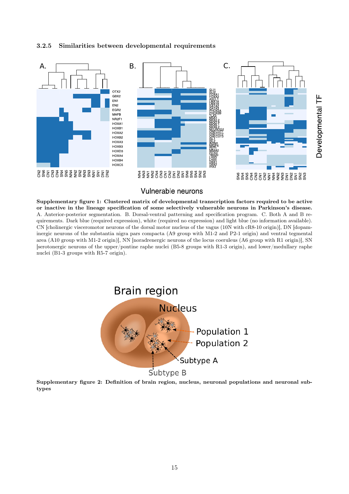3.2.5 Similarities between developmental requirements



Vulnerable neurons

Supplementary figure 1: Clustered matrix of developmental transcription factors required to be active or inactive in the lineage specification of some selectively vulnerable neurons in Parkinson's disease. A. Anterior-posterior segmentation. B. Dorsal-ventral patterning and specification program. C. Both A and B requirements. Dark blue (required expression), white (required no expression) and light blue (no information available). CN [cholinergic visceromotor neurons of the dorsal motor nucleus of the vagus (10N with cR8-10 origin)], DN [dopaminergic neurons of the substantia nigra pars compacta (A9 group with M1-2 and P2-1 origin) and ventral tegmental area (A10 group with M1-2 origin)], NN [noradrenergic neurons of the locus coeruleus (A6 group with R1 origin)], SN [serotonergic neurons of the upper/pontine raphe nuclei (B5-8 groups with R1-3 origin), and lower/medullary raphe nuclei (B1-3 groups with R5-7 origin).



Supplementary figure 2: Definition of brain region, nucleus, neuronal populations and neuronal subtypes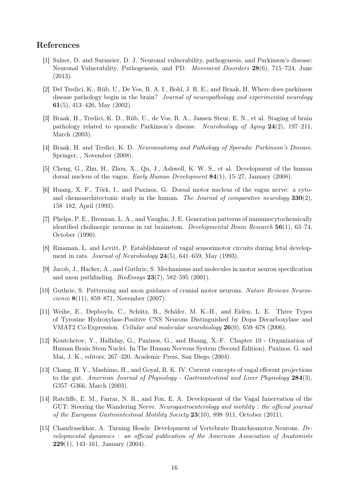## References

- <span id="page-15-0"></span>[1] Sulzer, D. and Surmeier, D. J. Neuronal vulnerability, pathogenesis, and Parkinson's disease: Neuronal Vulnerability, Pathogenesis, and PD. Movement Disorders 28(6), 715–724, June (2013).
- <span id="page-15-1"></span>[2] Del Tredici, K., Rüb, U., De Vos, R. A. I., Bohl, J. R. E., and Braak, H. Where does parkinson disease pathology begin in the brain? Journal of neuropathology and experimental neurology 61(5), 413–426, May (2002).
- <span id="page-15-2"></span>[3] Braak, H., Tredici, K. D., Rüb, U., de Vos, R. A., Jansen Steur, E. N., et al. Staging of brain pathology related to sporadic Parkinson's disease. Neurobiology of Aging 24(2), 197–211, March (2003).
- <span id="page-15-3"></span>[4] Braak, H. and Tredici, K. D. Neuroanatomy and Pathology of Sporadic Parkinson's Disease. Springer, , November (2008).
- <span id="page-15-4"></span>[5] Cheng, G., Zhu, H., Zhou, X., Qu, J., Ashwell, K. W. S., et al. Development of the human dorsal nucleus of the vagus. Early Human Development 84(1), 15–27, January (2008).
- <span id="page-15-5"></span>[6] Huang, X. F., Törk, I., and Paxinos, G. Dorsal motor nucleus of the vagus nerve: a cytoand chemoarchitectonic study in the human. The Journal of comparative neurology  $330(2)$ , 158–182, April (1993).
- <span id="page-15-6"></span>[7] Phelps, P. E., Brennan, L. A., and Vaughn, J. E. Generation patterns of immunocytochemically identified cholinergic neurons in rat brainstem. Developmental Brain Research 56(1), 63–74, October (1990).
- <span id="page-15-7"></span>[8] Rinaman, L. and Levitt, P. Establishment of vagal sensorimotor circuits during fetal development in rats. Journal of Neurobiology  $24(5)$ , 641–659, May (1993).
- <span id="page-15-8"></span>[9] Jacob, J., Hacker, A., and Guthrie, S. Mechanisms and molecules in motor neuron specification and axon pathfinding.  $BioEssays$  23(7), 582–595 (2001).
- <span id="page-15-9"></span>[10] Guthrie, S. Patterning and axon guidance of cranial motor neurons. Nature Reviews Neuroscience 8(11), 859–871, November (2007).
- <span id="page-15-10"></span>[11] Weihe, E., Depboylu, C., Schütz, B., Schäfer, M. K.-H., and Eiden, L. E. Three Types of Tyrosine Hydroxylase-Positive CNS Neurons Distinguished by Dopa Decarboxylase and VMAT2 Co-Expression. Cellular and molecular neurobiology 26(0), 659–678 (2006).
- <span id="page-15-11"></span>[12] Koutcherov, Y., Halliday, G., Paxinos, G., and Huang, X.-F. Chapter 10 - Organization of Human Brain Stem Nuclei. In The Human Nervous System (Second Edition), Paxinos, G. and Mai, J. K., editors, 267–320. Academic Press, San Diego (2004).
- <span id="page-15-12"></span>[13] Chang, H. Y., Mashimo, H., and Goyal, R. K. IV. Current concepts of vagal efferent projections to the gut. American Journal of Physiology - Gastrointestinal and Liver Physiology 284(3), G357–G366, March (2003).
- <span id="page-15-13"></span>[14] Ratcliffe, E. M., Farrar, N. R., and Fox, E. A. Development of the Vagal Innervation of the GUT: Steering the Wandering Nerve. Neurogastroenterology and motility : the official journal of the European Gastrointestinal Motility Society 23(10), 898–911, October (2011).
- <span id="page-15-14"></span>[15] Chandrasekhar, A. Turning Heads: Development of Vertebrate Branchiomotor Neurons. Developmental dynamics : an official publication of the American Association of Anatomists **229**(1), 143–161, January  $(2004)$ .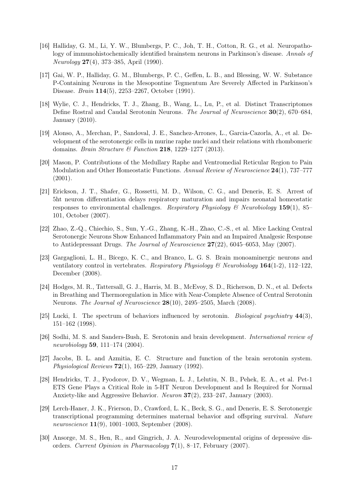- <span id="page-16-0"></span>[16] Halliday, G. M., Li, Y. W., Blumbergs, P. C., Joh, T. H., Cotton, R. G., et al. Neuropathology of immunohistochemically identified brainstem neurons in Parkinson's disease. Annals of Neurology 27(4), 373–385, April (1990).
- <span id="page-16-1"></span>[17] Gai, W. P., Halliday, G. M., Blumbergs, P. C., Geffen, L. B., and Blessing, W. W. Substance P-Containing Neurons in the Mesopontine Tegmentum Are Severely Affected in Parkinson's Disease. Brain 114(5), 2253–2267, October (1991).
- <span id="page-16-2"></span>[18] Wylie, C. J., Hendricks, T. J., Zhang, B., Wang, L., Lu, P., et al. Distinct Transcriptomes Define Rostral and Caudal Serotonin Neurons. The Journal of Neuroscience 30(2), 670–684, January (2010).
- <span id="page-16-3"></span>[19] Alonso, A., Merchan, P., Sandoval, J. E., Sanchez-Arrones, L., Garcia-Cazorla, A., et al. Development of the serotonergic cells in murine raphe nuclei and their relations with rhombomeric domains. Brain Structure & Function 218, 1229-1277 (2013).
- <span id="page-16-4"></span>[20] Mason, P. Contributions of the Medullary Raphe and Ventromedial Reticular Region to Pain Modulation and Other Homeostatic Functions. Annual Review of Neuroscience 24(1), 737–777 (2001).
- [21] Erickson, J. T., Shafer, G., Rossetti, M. D., Wilson, C. G., and Deneris, E. S. Arrest of 5ht neuron differentiation delays respiratory maturation and impairs neonatal homeostatic responses to environmental challenges. Respiratory Physiology  $\mathcal{B}$  Neurobiology 159(1), 85– 101, October (2007).
- [22] Zhao, Z.-Q., Chiechio, S., Sun, Y.-G., Zhang, K.-H., Zhao, C.-S., et al. Mice Lacking Central Serotonergic Neurons Show Enhanced Inflammatory Pain and an Impaired Analgesic Response to Antidepressant Drugs. The Journal of Neuroscience 27(22), 6045–6053, May (2007).
- [23] Gargaglioni, L. H., Bícego, K. C., and Branco, L. G. S. Brain monoaminergic neurons and ventilatory control in vertebrates. Respiratory Physiology & Neurobiology  $164(1-2)$ , 112–122. December (2008).
- <span id="page-16-5"></span>[24] Hodges, M. R., Tattersall, G. J., Harris, M. B., McEvoy, S. D., Richerson, D. N., et al. Defects in Breathing and Thermoregulation in Mice with Near-Complete Absence of Central Serotonin Neurons. The Journal of Neuroscience 28(10), 2495–2505, March (2008).
- <span id="page-16-6"></span>[25] Lucki, I. The spectrum of behaviors influenced by serotonin. *Biological psychiatry*  $44(3)$ , 151–162 (1998).
- <span id="page-16-7"></span>[26] Sodhi, M. S. and Sanders-Bush, E. Serotonin and brain development. International review of neurobiology 59, 111–174 (2004).
- <span id="page-16-8"></span>[27] Jacobs, B. L. and Azmitia, E. C. Structure and function of the brain serotonin system. Physiological Reviews  $72(1)$ , 165–229, January (1992).
- <span id="page-16-9"></span>[28] Hendricks, T. J., Fyodorov, D. V., Wegman, L. J., Lelutiu, N. B., Pehek, E. A., et al. Pet-1 ETS Gene Plays a Critical Role in 5-HT Neuron Development and Is Required for Normal Anxiety-like and Aggressive Behavior. Neuron 37(2), 233–247, January (2003).
- <span id="page-16-10"></span>[29] Lerch-Haner, J. K., Frierson, D., Crawford, L. K., Beck, S. G., and Deneris, E. S. Serotonergic transcriptional programming determines maternal behavior and offspring survival. Nature neuroscience 11(9), 1001–1003, September (2008).
- <span id="page-16-11"></span>[30] Ansorge, M. S., Hen, R., and Gingrich, J. A. Neurodevelopmental origins of depressive disorders. Current Opinion in Pharmacology 7(1), 8–17, February (2007).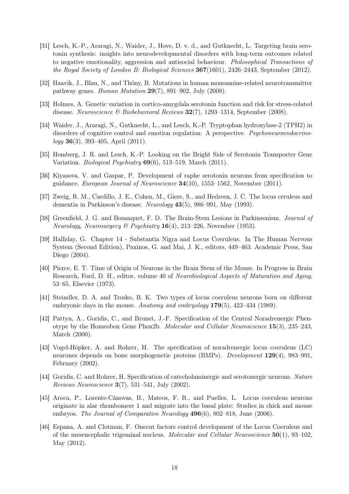- <span id="page-17-0"></span>[31] Lesch, K.-P., Araragi, N., Waider, J., Hove, D. v. d., and Gutknecht, L. Targeting brain serotonin synthesis: insights into neurodevelopmental disorders with long-term outcomes related to negative emotionality, aggression and antisocial behaviour. Philosophical Transactions of the Royal Society of London B: Biological Sciences 367(1601), 2426–2443, September (2012).
- <span id="page-17-1"></span>[32] Haavik, J., Blau, N., and Thöny, B. Mutations in human monoamine-related neurotransmitter pathway genes. Human Mutation 29(7), 891–902, July (2008).
- [33] Holmes, A. Genetic variation in cortico-amygdala serotonin function and risk for stress-related disease. Neuroscience & Biobehavioral Reviews  $32(7)$ , 1293-1314, September (2008).
- [34] Waider, J., Araragi, N., Gutknecht, L., and Lesch, K.-P. Tryptophan hydroxylase-2 (TPH2) in disorders of cognitive control and emotion regulation: A perspective. Psychoneuroendocrino- $\log y$  36(3), 393–405, April (2011).
- <span id="page-17-2"></span>[35] Homberg, J. R. and Lesch, K.-P. Looking on the Bright Side of Serotonin Transporter Gene Variation. Biological Psychiatry 69(6), 513–519, March (2011).
- <span id="page-17-3"></span>[36] Kiyasova, V. and Gaspar, P. Development of raphe serotonin neurons from specification to guidance. European Journal of Neuroscience 34(10), 1553–1562, November (2011).
- <span id="page-17-4"></span>[37] Zweig, R. M., Cardillo, J. E., Cohen, M., Giere, S., and Hedreen, J. C. The locus ceruleus and dementia in Parkinson's disease. Neurology 43(5), 986–991, May (1993).
- <span id="page-17-5"></span>[38] Greenfield, J. G. and Bosanquet, F. D. The Brain-Stem Lesions in Parkinsonism. Journal of Neurology, Neurosurgery & Psychiatry  $16(4)$ , 213–226, November (1953).
- <span id="page-17-6"></span>[39] Halliday, G. Chapter 14 - Substantia Nigra and Locus Coeruleus. In The Human Nervous System (Second Edition), Paxinos, G. and Mai, J. K., editors, 449–463. Academic Press, San Diego (2004).
- <span id="page-17-7"></span>[40] Pierce, E. T. Time of Origin of Neurons in the Brain Stem of the Mouse. In Progress in Brain Research, Ford, D. H., editor, volume 40 of Neurobiological Aspects of Maturation and Aging, 53–65. Elsevier (1973).
- [41] Steindler, D. A. and Trosko, B. K. Two types of locus coeruleus neurons born on different embryonic days in the mouse. Anatomy and embryology 179(5), 423–434 (1989).
- <span id="page-17-12"></span>[42] Pattyn, A., Goridis, C., and Brunet, J.-F. Specification of the Central Noradrenergic Phenotype by the Homeobox Gene Phox2b. Molecular and Cellular Neuroscience 15(3), 235–243, March (2000).
- <span id="page-17-11"></span>[43] Vogel-Höpker, A. and Rohrer, H. The specification of noradrenergic locus coeruleus (LC) neurones depends on bone morphogenetic proteins (BMPs). Development 129(4), 983–991, February (2002).
- <span id="page-17-10"></span>[44] Goridis, C. and Rohrer, H. Specification of catecholaminergic and serotonergic neurons. Nature Reviews Neuroscience  $3(7)$ , 531–541, July (2002).
- <span id="page-17-9"></span>[45] Aroca, P., Lorente-Cánovas, B., Mateos, F. R., and Puelles, L. Locus coeruleus neurons originate in alar rhombomere 1 and migrate into the basal plate: Studies in chick and mouse embryos. The Journal of Comparative Neurology 496(6), 802–818, June (2006).
- <span id="page-17-8"></span>[46] Espana, A. and Clotman, F. Onecut factors control development of the Locus Coeruleus and of the mesencephalic trigeminal nucleus. Molecular and Cellular Neuroscience  $50(1)$ , 93–102, May (2012).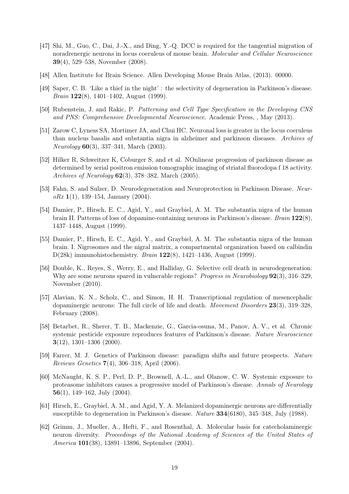- <span id="page-18-0"></span>[47] Shi, M., Guo, C., Dai, J.-X., and Ding, Y.-Q. DCC is required for the tangential migration of noradrenergic neurons in locus coeruleus of mouse brain. Molecular and Cellular Neuroscience 39(4), 529–538, November (2008).
- <span id="page-18-1"></span>[48] Allen Institute for Brain Science. Allen Developing Mouse Brain Atlas, (2013). 00000.
- <span id="page-18-2"></span>[49] Saper, C. B. 'Like a thief in the night' : the selectivity of degeneration in Parkinson's disease. Brain 122(8), 1401–1402, August (1999).
- <span id="page-18-3"></span>[50] Rubenstein, J. and Rakic, P. Patterning and Cell Type Specification in the Developing CNS and PNS: Comprehensive Developmental Neuroscience. Academic Press, , May (2013).
- <span id="page-18-4"></span>[51] Zarow C, Lyness SA, Mortimer JA, and Chui HC. Neuronal loss is greater in the locus coeruleus than nucleus basalis and substantia nigra in alzheimer and parkinson diseases. Archives of Neurology 60(3), 337–341, March (2003).
- <span id="page-18-5"></span>[52] Hilker R, Schweitzer K, Coburger S, and et al. NOnlinear progression of parkinson disease as determined by serial positron emission tomographic imaging of striatal fluorodopa f 18 activity. Archives of Neurology 62(3), 378–382, March (2005).
- <span id="page-18-6"></span>[53] Fahn, S. and Sulzer, D. Neurodegeneration and Neuroprotection in Parkinson Disease. Neur $oRx 1(1), 139-154, January (2004).$
- <span id="page-18-7"></span>[54] Damier, P., Hirsch, E. C., Agid, Y., and Graybiel, A. M. The substantia nigra of the human brain II. Patterns of loss of dopamine-containing neurons in Parkinson's disease. Brain 122(8), 1437–1448, August (1999).
- <span id="page-18-8"></span>[55] Damier, P., Hirsch, E. C., Agid, Y., and Graybiel, A. M. The substantia nigra of the human brain. I. Nigrosomes and the nigral matrix, a compartmental organization based on calbindin D(28k) immunohistochemistry. Brain 122(8), 1421–1436, August (1999).
- <span id="page-18-9"></span>[56] Double, K., Reyes, S., Werry, E., and Halliday, G. Selective cell death in neurodegeneration: Why are some neurons spared in vulnerable regions? *Progress in Neurobiology* **92**(3), 316–329. November (2010).
- <span id="page-18-10"></span>[57] Alavian, K. N., Scholz, C., and Simon, H. H. Transcriptional regulation of mesencephalic dopaminergic neurons: The full circle of life and death. Movement Disorders 23(3), 319–328, February (2008).
- [58] Betarbet, R., Sherer, T. B., Mackenzie, G., Garcia-osuna, M., Panov, A. V., et al. Chronic systemic pesticide exposure reproduces features of Parkinson's disease. Nature Neuroscience  $3(12)$ , 1301–1306 (2000).
- [59] Farrer, M. J. Genetics of Parkinson disease: paradigm shifts and future prospects. Nature Reviews Genetics 7(4), 306–318, April (2006).
- <span id="page-18-11"></span>[60] McNaught, K. S. P., Perl, D. P., Brownell, A.-L., and Olanow, C. W. Systemic exposure to proteasome inhibitors causes a progressive model of Parkinson's disease. Annals of Neurology 56(1), 149–162, July (2004).
- <span id="page-18-12"></span>[61] Hirsch, E., Graybiel, A. M., and Agid, Y. A. Melanized dopaminergic neurons are differentially susceptible to degeneration in Parkinson's disease. Nature 334(6180), 345–348, July (1988).
- <span id="page-18-13"></span>[62] Grimm, J., Mueller, A., Hefti, F., and Rosenthal, A. Molecular basis for catecholaminergic neuron diversity. Proceedings of the National Academy of Sciences of the United States of America 101(38), 13891–13896, September (2004).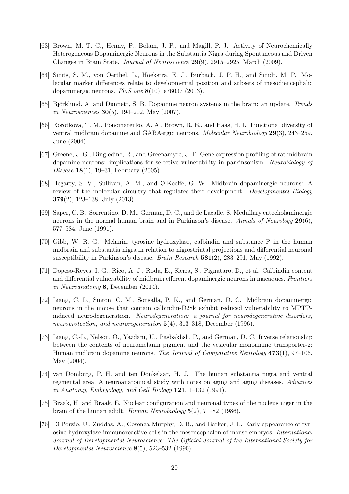- <span id="page-19-0"></span>[63] Brown, M. T. C., Henny, P., Bolam, J. P., and Magill, P. J. Activity of Neurochemically Heterogeneous Dopaminergic Neurons in the Substantia Nigra during Spontaneous and Driven Changes in Brain State. Journal of Neuroscience 29(9), 2915–2925, March (2009).
- <span id="page-19-1"></span>[64] Smits, S. M., von Oerthel, L., Hoekstra, E. J., Burbach, J. P. H., and Smidt, M. P. Molecular marker differences relate to developmental position and subsets of mesodiencephalic dopaminergic neurons. PloS one 8(10), e76037 (2013).
- <span id="page-19-2"></span>[65] Björklund, A. and Dunnett, S. B. Dopamine neuron systems in the brain: an update. Trends in Neurosciences 30(5), 194–202, May (2007).
- <span id="page-19-3"></span>[66] Korotkova, T. M., Ponomarenko, A. A., Brown, R. E., and Haas, H. L. Functional diversity of ventral midbrain dopamine and GABAergic neurons. Molecular Neurobiology 29(3), 243–259, June (2004).
- <span id="page-19-4"></span>[67] Greene, J. G., Dingledine, R., and Greenamyre, J. T. Gene expression profiling of rat midbrain dopamine neurons: implications for selective vulnerability in parkinsonism. Neurobiology of Disease 18(1), 19–31, February (2005).
- <span id="page-19-5"></span>[68] Hegarty, S. V., Sullivan, A. M., and O'Keeffe, G. W. Midbrain dopaminergic neurons: A review of the molecular circuitry that regulates their development. Developmental Biology 379(2), 123–138, July (2013).
- <span id="page-19-6"></span>[69] Saper, C. B., Sorrentino, D. M., German, D. C., and de Lacalle, S. Medullary catecholaminergic neurons in the normal human brain and in Parkinson's disease. Annals of Neurology  $29(6)$ , 577–584, June (1991).
- <span id="page-19-7"></span>[70] Gibb, W. R. G. Melanin, tyrosine hydroxylase, calbindin and substance P in the human midbrain and substantia nigra in relation to nigrostriatal projections and differential neuronal susceptibility in Parkinson's disease. Brain Research 581(2), 283–291, May (1992).
- <span id="page-19-8"></span>[71] Dopeso-Reyes, I. G., Rico, A. J., Roda, E., Sierra, S., Pignataro, D., et al. Calbindin content and differential vulnerability of midbrain efferent dopaminergic neurons in macaques. Frontiers in Neuroanatomy 8, December (2014).
- <span id="page-19-9"></span>[72] Liang, C. L., Sinton, C. M., Sonsalla, P. K., and German, D. C. Midbrain dopaminergic neurons in the mouse that contain calbindin-D28k exhibit reduced vulnerability to MPTPinduced neurodegeneration. Neurodegeneration: a journal for neurodegenerative disorders, neuroprotection, and neuroregeneration 5(4), 313–318, December (1996).
- <span id="page-19-10"></span>[73] Liang, C.-L., Nelson, O., Yazdani, U., Pasbakhsh, P., and German, D. C. Inverse relationship between the contents of neuromelanin pigment and the vesicular monoamine transporter-2: Human midbrain dopamine neurons. The Journal of Comparative Neurology 473(1), 97–106, May (2004).
- <span id="page-19-11"></span>[74] van Domburg, P. H. and ten Donkelaar, H. J. The human substantia nigra and ventral tegmental area. A neuroanatomical study with notes on aging and aging diseases. Advances in Anatomy, Embryology, and Cell Biology  $121, 1-132$  (1991).
- <span id="page-19-12"></span>[75] Braak, H. and Braak, E. Nuclear configuration and neuronal types of the nucleus niger in the brain of the human adult. Human Neurobiology 5(2), 71–82 (1986).
- <span id="page-19-13"></span>[76] Di Porzio, U., Zuddas, A., Cosenza-Murphy, D. B., and Barker, J. L. Early appearance of tyrosine hydroxylase immunoreactive cells in the mesencephalon of mouse embryos. International Journal of Developmental Neuroscience: The Official Journal of the International Society for Developmental Neuroscience 8(5), 523–532 (1990).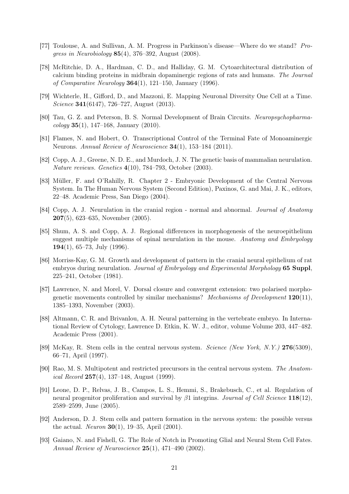- <span id="page-20-0"></span>[77] Toulouse, A. and Sullivan, A. M. Progress in Parkinson's disease—Where do we stand? Progress in Neurobiology 85(4), 376–392, August (2008).
- <span id="page-20-1"></span>[78] McRitchie, D. A., Hardman, C. D., and Halliday, G. M. Cytoarchitectural distribution of calcium binding proteins in midbrain dopaminergic regions of rats and humans. The Journal of Comparative Neurology  $364(1)$ , 121–150, January (1996).
- <span id="page-20-2"></span>[79] Wichterle, H., Gifford, D., and Mazzoni, E. Mapping Neuronal Diversity One Cell at a Time. Science 341(6147), 726–727, August (2013).
- <span id="page-20-3"></span>[80] Tau, G. Z. and Peterson, B. S. Normal Development of Brain Circuits. Neuropsychopharma- $\{cology 35(1), 147-168, January (2010).$
- <span id="page-20-4"></span>[81] Flames, N. and Hobert, O. Transcriptional Control of the Terminal Fate of Monoaminergic Neurons. Annual Review of Neuroscience 34(1), 153–184 (2011).
- <span id="page-20-5"></span>[82] Copp, A. J., Greene, N. D. E., and Murdoch, J. N. The genetic basis of mammalian neurulation. Nature reviews. Genetics 4(10), 784–793, October (2003).
- <span id="page-20-6"></span>[83] Müller, F. and O'Rahilly, R. Chapter 2 - Embryonic Development of the Central Nervous System. In The Human Nervous System (Second Edition), Paxinos, G. and Mai, J. K., editors, 22–48. Academic Press, San Diego (2004).
- <span id="page-20-7"></span>[84] Copp, A. J. Neurulation in the cranial region - normal and abnormal. Journal of Anatomy 207(5), 623–635, November (2005).
- <span id="page-20-8"></span>[85] Shum, A. S. and Copp, A. J. Regional differences in morphogenesis of the neuroepithelium suggest multiple mechanisms of spinal neurulation in the mouse. Anatomy and Embryology 194 $(1)$ , 65–73, July  $(1996)$ .
- <span id="page-20-9"></span>[86] Morriss-Kay, G. M. Growth and development of pattern in the cranial neural epithelium of rat embryos during neurulation. *Journal of Embryology and Experimental Morphology* 65 Suppl, 225–241, October (1981).
- <span id="page-20-10"></span>[87] Lawrence, N. and Morel, V. Dorsal closure and convergent extension: two polarised morphogenetic movements controlled by similar mechanisms? Mechanisms of Development  $120(11)$ , 1385–1393, November (2003).
- <span id="page-20-11"></span>[88] Altmann, C. R. and Brivanlou, A. H. Neural patterning in the vertebrate embryo. In International Review of Cytology, Lawrence D. Etkin, K. W. J., editor, volume Volume 203, 447–482. Academic Press (2001).
- <span id="page-20-12"></span>[89] McKay, R. Stem cells in the central nervous system. Science (New York, N.Y.) 276(5309), 66–71, April (1997).
- [90] Rao, M. S. Multipotent and restricted precursors in the central nervous system. The Anatom*ical Record* 257(4), 137–148, August (1999).
- [91] Leone, D. P., Relvas, J. B., Campos, L. S., Hemmi, S., Brakebusch, C., et al. Regulation of neural progenitor proliferation and survival by  $\beta_1$  integrins. Journal of Cell Science 118(12), 2589–2599, June (2005).
- <span id="page-20-13"></span>[92] Anderson, D. J. Stem cells and pattern formation in the nervous system: the possible versus the actual. Neuron 30(1), 19–35, April (2001).
- <span id="page-20-14"></span>[93] Gaiano, N. and Fishell, G. The Role of Notch in Promoting Glial and Neural Stem Cell Fates. Annual Review of Neuroscience 25(1), 471–490 (2002).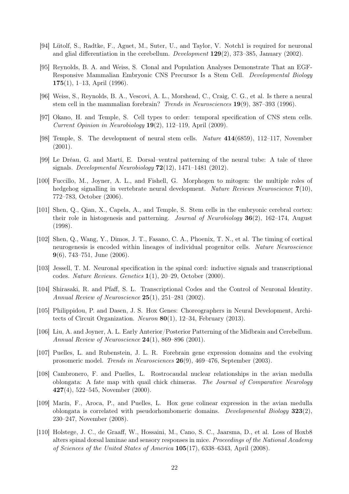- <span id="page-21-0"></span>[94] Lütolf, S., Radtke, F., Aguet, M., Suter, U., and Taylor, V. Notch1 is required for neuronal and glial differentiation in the cerebellum. Development 129(2), 373–385, January (2002).
- <span id="page-21-1"></span>[95] Reynolds, B. A. and Weiss, S. Clonal and Population Analyses Demonstrate That an EGF-Responsive Mammalian Embryonic CNS Precursor Is a Stem Cell. Developmental Biology 175 $(1)$ , 1–13, April  $(1996)$ .
- <span id="page-21-2"></span>[96] Weiss, S., Reynolds, B. A., Vescovi, A. L., Morshead, C., Craig, C. G., et al. Is there a neural stem cell in the mammalian forebrain? Trends in Neurosciences 19(9), 387–393 (1996).
- <span id="page-21-3"></span>[97] Okano, H. and Temple, S. Cell types to order: temporal specification of CNS stem cells. Current Opinion in Neurobiology 19(2), 112–119, April (2009).
- <span id="page-21-4"></span>[98] Temple, S. The development of neural stem cells. Nature 414(6859), 112–117, November (2001).
- <span id="page-21-5"></span>[99] Le Dréau, G. and Martí, E. Dorsal–ventral patterning of the neural tube: A tale of three signals. Developmental Neurobiology  $72(12)$ , 1471–1481 (2012).
- <span id="page-21-6"></span>[100] Fuccillo, M., Joyner, A. L., and Fishell, G. Morphogen to mitogen: the multiple roles of hedgehog signalling in vertebrate neural development. Nature Reviews Neuroscience 7(10), 772–783, October (2006).
- <span id="page-21-7"></span>[101] Shen, Q., Qian, X., Capela, A., and Temple, S. Stem cells in the embryonic cerebral cortex: their role in histogenesis and patterning. Journal of Neurobiology  $36(2)$ ,  $162-174$ , August (1998).
- <span id="page-21-8"></span>[102] Shen, Q., Wang, Y., Dimos, J. T., Fasano, C. A., Phoenix, T. N., et al. The timing of cortical neurogenesis is encoded within lineages of individual progenitor cells. Nature Neuroscience 9(6), 743–751, June (2006).
- <span id="page-21-9"></span>[103] Jessell, T. M. Neuronal specification in the spinal cord: inductive signals and transcriptional codes. Nature Reviews. Genetics 1(1), 20–29, October (2000).
- <span id="page-21-10"></span>[104] Shirasaki, R. and Pfaff, S. L. Transcriptional Codes and the Control of Neuronal Identity. Annual Review of Neuroscience 25(1), 251–281 (2002).
- <span id="page-21-11"></span>[105] Philippidou, P. and Dasen, J. S. Hox Genes: Choreographers in Neural Development, Architects of Circuit Organization. Neuron 80(1), 12–34, February (2013).
- <span id="page-21-12"></span>[106] Liu, A. and Joyner, A. L. Early Anterior/Posterior Patterning of the Midbrain and Cerebellum. Annual Review of Neuroscience 24(1), 869–896 (2001).
- <span id="page-21-13"></span>[107] Puelles, L. and Rubenstein, J. L. R. Forebrain gene expression domains and the evolving prosomeric model. Trends in Neurosciences 26(9), 469–476, September (2003).
- <span id="page-21-14"></span>[108] Cambronero, F. and Puelles, L. Rostrocaudal nuclear relationships in the avian medulla oblongata: A fate map with quail chick chimeras. The Journal of Comparative Neurology 427(4), 522–545, November (2000).
- <span id="page-21-15"></span>[109] Marín, F., Aroca, P., and Puelles, L. Hox gene colinear expression in the avian medulla oblongata is correlated with pseudorhombomeric domains. Developmental Biology 323(2), 230–247, November (2008).
- <span id="page-21-16"></span>[110] Holstege, J. C., de Graaff, W., Hossaini, M., Cano, S. C., Jaarsma, D., et al. Loss of Hoxb8 alters spinal dorsal laminae and sensory responses in mice. Proceedings of the National Academy of Sciences of the United States of America 105(17), 6338–6343, April (2008).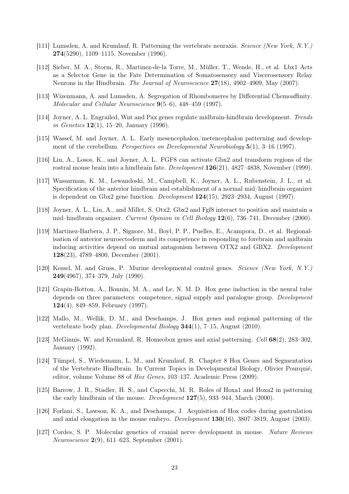- <span id="page-22-0"></span>[111] Lumsden, A. and Krumlauf, R. Patterning the vertebrate neuraxis. Science (New York, N.Y.) 274(5290), 1109–1115, November (1996).
- <span id="page-22-1"></span>[112] Sieber, M. A., Storm, R., Martinez-de-la Torre, M., Müller, T., Wende, H., et al. Lbx1 Acts as a Selector Gene in the Fate Determination of Somatosensory and Viscerosensory Relay Neurons in the Hindbrain. The Journal of Neuroscience 27(18), 4902–4909, May (2007).
- <span id="page-22-2"></span>[113] Wizenmann, A. and Lumsden, A. Segregation of Rhombomeres by Differential Chemoaffinity. Molecular and Cellular Neuroscience 9(5–6), 448–459 (1997).
- <span id="page-22-3"></span>[114] Joyner, A. L. Engrailed, Wnt and Pax genes regulate midbrain-hindbrain development. Trends in Genetics  $12(1)$ , 15–20, January (1996).
- <span id="page-22-6"></span>[115] Wassef, M. and Joyner, A. L. Early mesencephalon/metencephalon patterning and development of the cerebellum. *Perspectives on Developmental Neurobiology* 5(1), 3-16 (1997).
- <span id="page-22-4"></span>[116] Liu, A., Losos, K., and Joyner, A. L. FGF8 can activate Gbx2 and transform regions of the rostral mouse brain into a hindbrain fate. Development 126(21), 4827–4838, November (1999).
- <span id="page-22-5"></span>[117] Wassarman, K. M., Lewandoski, M., Campbell, K., Joyner, A. L., Rubenstein, J. L., et al. Specification of the anterior hindbrain and establishment of a normal mid/hindbrain organizer is dependent on Gbx2 gene function. Development 124(15), 2923–2934, August (1997).
- <span id="page-22-7"></span>[118] Joyner, A. L., Liu, A., and Millet, S. Otx2, Gbx2 and Fgf8 interact to position and maintain a mid–hindbrain organizer. Current Opinion in Cell Biology 12(6), 736–741, December (2000).
- <span id="page-22-8"></span>[119] Martinez-Barbera, J. P., Signore, M., Boyl, P. P., Puelles, E., Acampora, D., et al. Regionalisation of anterior neuroectoderm and its competence in responding to forebrain and midbrain inducing activities depend on mutual antagonism between OTX2 and GBX2. Development 128(23), 4789–4800, December (2001).
- <span id="page-22-9"></span>[120] Kessel, M. and Gruss, P. Murine developmental control genes. Science (New York, N.Y.) 249(4967), 374–379, July (1990).
- [121] Grapin-Botton, A., Bonnin, M. A., and Le, N. M. D. Hox gene induction in the neural tube depends on three parameters: competence, signal supply and paralogue group. *Development* 124(4), 849–859, February (1997).
- <span id="page-22-10"></span>[122] Mallo, M., Wellik, D. M., and Deschamps, J. Hox genes and regional patterning of the vertebrate body plan. Developmental Biology 344(1), 7–15, August (2010).
- <span id="page-22-11"></span>[123] McGinnis, W. and Krumlauf, R. Homeobox genes and axial patterning. Cell 68(2), 283–302, January (1992).
- <span id="page-22-12"></span>[124] Tümpel, S., Wiedemann, L. M., and Krumlauf, R. Chapter 8 Hox Genes and Segmentation of the Vertebrate Hindbrain. In Current Topics in Developmental Biology, Olivier Pourquié, editor, volume Volume 88 of Hox Genes, 103–137. Academic Press (2009).
- <span id="page-22-13"></span>[125] Barrow, J. R., Stadler, H. S., and Capecchi, M. R. Roles of Hoxa1 and Hoxa2 in patterning the early hindbrain of the mouse. Development 127(5), 933–944, March (2000).
- <span id="page-22-14"></span>[126] Forlani, S., Lawson, K. A., and Deschamps, J. Acquisition of Hox codes during gastrulation and axial elongation in the mouse embryo. Development 130(16), 3807–3819, August (2003).
- <span id="page-22-15"></span>[127] Cordes, S. P. Molecular genetics of cranial nerve development in mouse. Nature Reviews Neuroscience 2(9), 611–623, September (2001).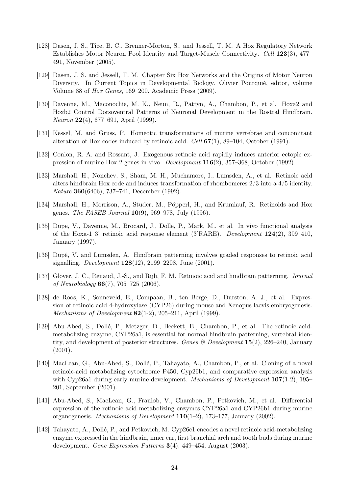- [128] Dasen, J. S., Tice, B. C., Brenner-Morton, S., and Jessell, T. M. A Hox Regulatory Network Establishes Motor Neuron Pool Identity and Target-Muscle Connectivity. Cell 123(3), 477– 491, November (2005).
- <span id="page-23-0"></span>[129] Dasen, J. S. and Jessell, T. M. Chapter Six Hox Networks and the Origins of Motor Neuron Diversity. In Current Topics in Developmental Biology, Olivier Pourquié, editor, volume Volume 88 of Hox Genes, 169–200. Academic Press (2009).
- <span id="page-23-1"></span>[130] Davenne, M., Maconochie, M. K., Neun, R., Pattyn, A., Chambon, P., et al. Hoxa2 and Hoxb2 Control Dorsoventral Patterns of Neuronal Development in the Rostral Hindbrain. Neuron 22(4), 677–691, April (1999).
- <span id="page-23-2"></span>[131] Kessel, M. and Gruss, P. Homeotic transformations of murine vertebrae and concomitant alteration of Hox codes induced by retinoic acid. Cell  $67(1)$ , 89–104, October (1991).
- [132] Conlon, R. A. and Rossant, J. Exogenous retinoic acid rapidly induces anterior ectopic expression of murine Hox-2 genes in vivo. Development 116(2), 357–368, October (1992).
- [133] Marshall, H., Nonchev, S., Sham, M. H., Muchamore, I., Lumsden, A., et al. Retinoic acid alters hindbrain Hox code and induces transformation of rhombomeres 2/3 into a 4/5 identity. Nature 360(6406), 737–741, December (1992).
- [134] Marshall, H., Morrison, A., Studer, M., Pöpperl, H., and Krumlauf, R. Retinoids and Hox genes. The FASEB Journal  $10(9)$ , 969–978, July (1996).
- [135] Dupe, V., Davenne, M., Brocard, J., Dolle, P., Mark, M., et al. In vivo functional analysis of the Hoxa-1 3' retinoic acid response element  $(3'RARE)$ . Development  $124(2)$ , 399–410, January (1997).
- [136] Dupé, V. and Lumsden, A. Hindbrain patterning involves graded responses to retinoic acid signalling. Development 128(12), 2199–2208, June (2001).
- <span id="page-23-3"></span>[137] Glover, J. C., Renaud, J.-S., and Rijli, F. M. Retinoic acid and hindbrain patterning. Journal of Neurobiology 66(7), 705–725 (2006).
- [138] de Roos, K., Sonneveld, E., Compaan, B., ten Berge, D., Durston, A. J., et al. Expression of retinoic acid 4-hydroxylase (CYP26) during mouse and Xenopus laevis embryogenesis. *Mechanisms of Development*  $82(1-2)$ , 205-211, April (1999).
- [139] Abu-Abed, S., Dollé, P., Metzger, D., Beckett, B., Chambon, P., et al. The retinoic acidmetabolizing enzyme, CYP26a1, is essential for normal hindbrain patterning, vertebral identity, and development of posterior structures. Genes & Development 15(2), 226–240, January  $(2001).$
- [140] MacLean, G., Abu-Abed, S., Dollé, P., Tahayato, A., Chambon, P., et al. Cloning of a novel retinoic-acid metabolizing cytochrome P450, Cyp26b1, and comparative expression analysis with Cyp26a1 during early murine development. *Mechanisms of Development*  $107(1-2)$ , 195– 201, September (2001).
- [141] Abu-Abed, S., MacLean, G., Fraulob, V., Chambon, P., Petkovich, M., et al. Differential expression of the retinoic acid-metabolizing enzymes CYP26a1 and CYP26b1 during murine organogenesis. Mechanisms of Development  $110(1-2)$ , 173–177, January (2002).
- <span id="page-23-4"></span>[142] Tahayato, A., Dollé, P., and Petkovich, M. Cyp26c1 encodes a novel retinoic acid-metabolizing enzyme expressed in the hindbrain, inner ear, first branchial arch and tooth buds during murine development. Gene Expression Patterns 3(4), 449–454, August (2003).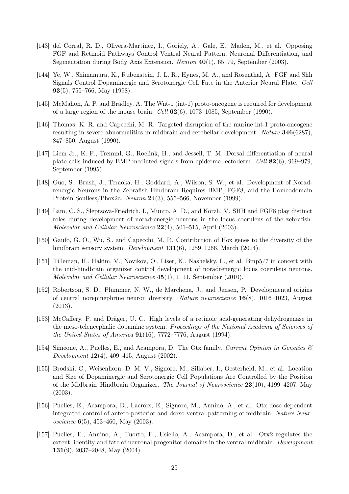- <span id="page-24-0"></span>[143] del Corral, R. D., Olivera-Martinez, I., Goriely, A., Gale, E., Maden, M., et al. Opposing FGF and Retinoid Pathways Control Ventral Neural Pattern, Neuronal Differentiation, and Segmentation during Body Axis Extension. Neuron 40(1), 65–79, September (2003).
- <span id="page-24-1"></span>[144] Ye, W., Shimamura, K., Rubenstein, J. L. R., Hynes, M. A., and Rosenthal, A. FGF and Shh Signals Control Dopaminergic and Serotonergic Cell Fate in the Anterior Neural Plate. Cell 93(5), 755–766, May (1998).
- [145] McMahon, A. P. and Bradley, A. The Wnt-1 (int-1) proto-oncogene is required for development of a large region of the mouse brain. Cell  $62(6)$ , 1073-1085, September (1990).
- [146] Thomas, K. R. and Capecchi, M. R. Targeted disruption of the murine int-1 proto-oncogene resulting in severe abnormalities in midbrain and cerebellar development. Nature 346(6287), 847–850, August (1990).
- [147] Liem Jr., K. F., Tremml, G., Roelink, H., and Jessell, T. M. Dorsal differentiation of neural plate cells induced by BMP-mediated signals from epidermal ectoderm. Cell 82(6), 969–979, September (1995).
- [148] Guo, S., Brush, J., Teraoka, H., Goddard, A., Wilson, S. W., et al. Development of Noradrenergic Neurons in the Zebrafish Hindbrain Requires BMP, FGF8, and the Homeodomain Protein Soulless/Phox2a. Neuron 24(3), 555–566, November (1999).
- [149] Lam, C. S., Sleptsova-Friedrich, I., Munro, A. D., and Korzh, V. SHH and FGF8 play distinct roles during development of noradrenergic neurons in the locus coeruleus of the zebrafish. Molecular and Cellular Neuroscience 22(4), 501–515, April (2003).
- [150] Gaufo, G. O., Wu, S., and Capecchi, M. R. Contribution of Hox genes to the diversity of the hindbrain sensory system. Development  $131(6)$ , 1259–1266, March (2004).
- [151] Tilleman, H., Hakim, V., Novikov, O., Liser, K., Nashelsky, L., et al. Bmp5/7 in concert with the mid-hindbrain organizer control development of noradrenergic locus coeruleus neurons. Molecular and Cellular Neuroscience 45(1), 1–11, September (2010).
- <span id="page-24-2"></span>[152] Robertson, S. D., Plummer, N. W., de Marchena, J., and Jensen, P. Developmental origins of central norepinephrine neuron diversity. Nature neuroscience 16(8), 1016–1023, August (2013).
- <span id="page-24-3"></span>[153] McCaffery, P. and Dräger, U. C. High levels of a retinoic acid-generating dehydrogenase in the meso-telencephalic dopamine system. Proceedings of the National Academy of Sciences of the United States of America  $91(16)$ , 7772–7776, August (1994).
- <span id="page-24-4"></span>[154] Simeone, A., Puelles, E., and Acampora, D. The Otx family. Current Opinion in Genetics  $\mathcal{C}$ Development 12(4), 409–415, August (2002).
- [155] Brodski, C., Weisenhorn, D. M. V., Signore, M., Sillaber, I., Oesterheld, M., et al. Location and Size of Dopaminergic and Serotonergic Cell Populations Are Controlled by the Position of the Midbrain–Hindbrain Organizer. The Journal of Neuroscience  $23(10)$ , 4199–4207, May (2003).
- <span id="page-24-5"></span>[156] Puelles, E., Acampora, D., Lacroix, E., Signore, M., Annino, A., et al. Otx dose-dependent integrated control of antero-posterior and dorso-ventral patterning of midbrain. Nature Neuroscience  $6(5)$ , 453–460, May (2003).
- <span id="page-24-6"></span>[157] Puelles, E., Annino, A., Tuorto, F., Usiello, A., Acampora, D., et al. Otx2 regulates the extent, identity and fate of neuronal progenitor domains in the ventral midbrain. *Development* 131(9), 2037–2048, May (2004).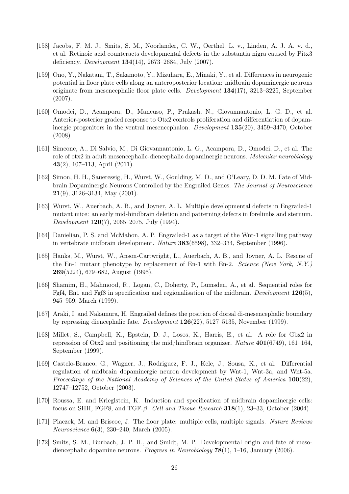- <span id="page-25-7"></span>[158] Jacobs, F. M. J., Smits, S. M., Noorlander, C. W., Oerthel, L. v., Linden, A. J. A. v. d., et al. Retinoic acid counteracts developmental defects in the substantia nigra caused by Pitx3 deficiency. Development 134(14), 2673–2684, July (2007).
- <span id="page-25-0"></span>[159] Ono, Y., Nakatani, T., Sakamoto, Y., Mizuhara, E., Minaki, Y., et al. Differences in neurogenic potential in floor plate cells along an anteroposterior location: midbrain dopaminergic neurons originate from mesencephalic floor plate cells. *Development*  $134(17)$ , 3213–3225, September (2007).
- <span id="page-25-1"></span>[160] Omodei, D., Acampora, D., Mancuso, P., Prakash, N., Giovannantonio, L. G. D., et al. Anterior-posterior graded response to Otx2 controls proliferation and differentiation of dopaminergic progenitors in the ventral mesencephalon. Development 135(20), 3459–3470, October (2008).
- [161] Simeone, A., Di Salvio, M., Di Giovannantonio, L. G., Acampora, D., Omodei, D., et al. The role of otx2 in adult mesencephalic-diencephalic dopaminergic neurons. Molecular neurobiology 43(2), 107–113, April (2011).
- <span id="page-25-5"></span>[162] Simon, H. H., Saueressig, H., Wurst, W., Goulding, M. D., and O'Leary, D. D. M. Fate of Midbrain Dopaminergic Neurons Controlled by the Engrailed Genes. The Journal of Neuroscience **21**(9), 3126–3134, May  $(2001)$ .
- [163] Wurst, W., Auerbach, A. B., and Joyner, A. L. Multiple developmental defects in Engrailed-1 mutant mice: an early mid-hindbrain deletion and patterning defects in forelimbs and sternum. Development  $120(7)$ , 2065–2075, July (1994).
- [164] Danielian, P. S. and McMahon, A. P. Engrailed-1 as a target of the Wnt-1 signalling pathway in vertebrate midbrain development. Nature 383(6598), 332–334, September (1996).
- [165] Hanks, M., Wurst, W., Anson-Cartwright, L., Auerbach, A. B., and Joyner, A. L. Rescue of the En-1 mutant phenotype by replacement of En-1 with En-2. Science (New York, N.Y.) 269(5224), 679–682, August (1995).
- [166] Shamim, H., Mahmood, R., Logan, C., Doherty, P., Lumsden, A., et al. Sequential roles for Fgf4, En1 and Fgf8 in specification and regionalisation of the midbrain. Development  $126(5)$ , 945–959, March (1999).
- <span id="page-25-6"></span>[167] Araki, I. and Nakamura, H. Engrailed defines the position of dorsal di-mesencephalic boundary by repressing diencephalic fate. Development 126(22), 5127–5135, November (1999).
- <span id="page-25-2"></span>[168] Millet, S., Campbell, K., Epstein, D. J., Losos, K., Harris, E., et al. A role for Gbx2 in repression of Otx2 and positioning the mid/hindbrain organizer. Nature  $401(6749)$ , 161–164, September (1999).
- [169] Castelo-Branco, G., Wagner, J., Rodriguez, F. J., Kele, J., Sousa, K., et al. Differential regulation of midbrain dopaminergic neuron development by Wnt-1, Wnt-3a, and Wnt-5a. Proceedings of the National Academy of Sciences of the United States of America  $100(22)$ , 12747–12752, October (2003).
- [170] Roussa, E. and Krieglstein, K. Induction and specification of midbrain dopaminergic cells: focus on SHH, FGF8, and TGF-β. Cell and Tissue Research 318(1), 23–33, October (2004).
- <span id="page-25-3"></span>[171] Placzek, M. and Briscoe, J. The floor plate: multiple cells, multiple signals. Nature Reviews Neuroscience 6(3), 230–240, March (2005).
- <span id="page-25-4"></span>[172] Smits, S. M., Burbach, J. P. H., and Smidt, M. P. Developmental origin and fate of mesodiencephalic dopamine neurons. Progress in Neurobiology  $78(1)$ , 1–16, January (2006).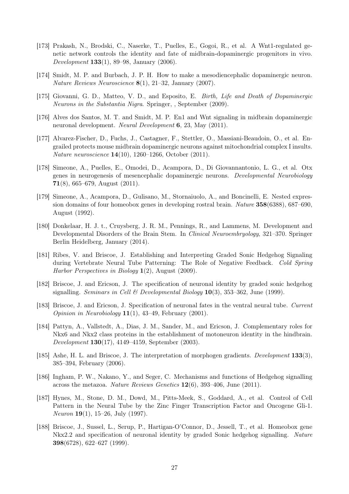- [173] Prakash, N., Brodski, C., Naserke, T., Puelles, E., Gogoi, R., et al. A Wnt1-regulated genetic network controls the identity and fate of midbrain-dopaminergic progenitors in vivo. Development 133(1), 89–98, January (2006).
- [174] Smidt, M. P. and Burbach, J. P. H. How to make a mesodiencephalic dopaminergic neuron. Nature Reviews Neuroscience 8(1), 21–32, January (2007).
- <span id="page-26-2"></span>[175] Giovanni, G. D., Matteo, V. D., and Esposito, E. Birth, Life and Death of Dopaminergic Neurons in the Substantia Nigra. Springer, , September (2009).
- [176] Alves dos Santos, M. T. and Smidt, M. P. En1 and Wnt signaling in midbrain dopaminergic neuronal development. Neural Development 6, 23, May (2011).
- <span id="page-26-0"></span>[177] Alvarez-Fischer, D., Fuchs, J., Castagner, F., Stettler, O., Massiani-Beaudoin, O., et al. Engrailed protects mouse midbrain dopaminergic neurons against mitochondrial complex I insults. Nature neuroscience 14(10), 1260–1266, October (2011).
- <span id="page-26-1"></span>[178] Simeone, A., Puelles, E., Omodei, D., Acampora, D., Di Giovannantonio, L. G., et al. Otx genes in neurogenesis of mesencephalic dopaminergic neurons. Developmental Neurobiology 71(8), 665–679, August  $(2011)$ .
- <span id="page-26-3"></span>[179] Simeone, A., Acampora, D., Gulisano, M., Stornaiuolo, A., and Boncinelli, E. Nested expression domains of four homeobox genes in developing rostral brain. Nature 358(6388), 687–690, August (1992).
- <span id="page-26-4"></span>[180] Donkelaar, H. J. t., Cruysberg, J. R. M., Pennings, R., and Lammens, M. Development and Developmental Disorders of the Brain Stem. In Clinical Neuroembryology, 321–370. Springer Berlin Heidelberg, January (2014).
- <span id="page-26-5"></span>[181] Ribes, V. and Briscoe, J. Establishing and Interpreting Graded Sonic Hedgehog Signaling during Vertebrate Neural Tube Patterning: The Role of Negative Feedback. Cold Spring Harbor Perspectives in Biology  $1(2)$ , August (2009).
- <span id="page-26-6"></span>[182] Briscoe, J. and Ericson, J. The specification of neuronal identity by graded sonic hedgehog signalling. Seminars in Cell & Developmental Biology  $10(3)$ , 353–362, June (1999).
- <span id="page-26-10"></span>[183] Briscoe, J. and Ericson, J. Specification of neuronal fates in the ventral neural tube. Current Opinion in Neurobiology  $11(1)$ , 43-49, February (2001).
- <span id="page-26-11"></span>[184] Pattyn, A., Vallstedt, A., Dias, J. M., Sander, M., and Ericson, J. Complementary roles for Nkx6 and Nkx2 class proteins in the establishment of motoneuron identity in the hindbrain. Development 130(17), 4149–4159, September (2003).
- [185] Ashe, H. L. and Briscoe, J. The interpretation of morphogen gradients. Development 133(3), 385–394, February (2006).
- <span id="page-26-7"></span>[186] Ingham, P. W., Nakano, Y., and Seger, C. Mechanisms and functions of Hedgehog signalling across the metazoa. Nature Reviews Genetics 12(6), 393–406, June (2011).
- <span id="page-26-8"></span>[187] Hynes, M., Stone, D. M., Dowd, M., Pitts-Meek, S., Goddard, A., et al. Control of Cell Pattern in the Neural Tube by the Zinc Finger Transcription Factor and Oncogene Gli-1. Neuron 19(1), 15–26, July (1997).
- <span id="page-26-9"></span>[188] Briscoe, J., Sussel, L., Serup, P., Hartigan-O'Connor, D., Jessell, T., et al. Homeobox gene Nkx2.2 and specification of neuronal identity by graded Sonic hedgehog signalling. Nature 398(6728), 622–627 (1999).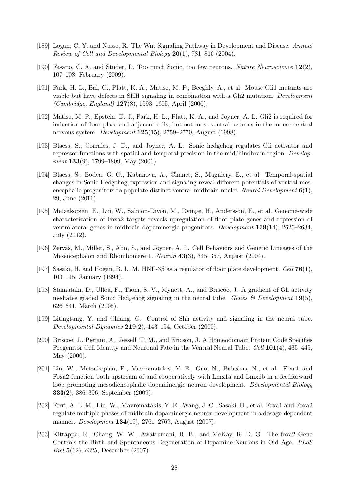- <span id="page-27-0"></span>[189] Logan, C. Y. and Nusse, R. The Wnt Signaling Pathway in Development and Disease. Annual Review of Cell and Developmental Biology 20(1), 781–810 (2004).
- <span id="page-27-1"></span>[190] Fasano, C. A. and Studer, L. Too much Sonic, too few neurons. Nature Neuroscience 12(2), 107–108, February (2009).
- <span id="page-27-2"></span>[191] Park, H. L., Bai, C., Platt, K. A., Matise, M. P., Beeghly, A., et al. Mouse Gli1 mutants are viable but have defects in SHH signaling in combination with a Gli2 mutation. Development  $(Cambridge, England)$  127(8), 1593-1605, April (2000).
- <span id="page-27-6"></span>[192] Matise, M. P., Epstein, D. J., Park, H. L., Platt, K. A., and Joyner, A. L. Gli2 is required for induction of floor plate and adjacent cells, but not most ventral neurons in the mouse central nervous system. Development 125(15), 2759–2770, August (1998).
- <span id="page-27-3"></span>[193] Blaess, S., Corrales, J. D., and Joyner, A. L. Sonic hedgehog regulates Gli activator and repressor functions with spatial and temporal precision in the mid/hindbrain region. Development  $133(9)$ , 1799–1809, May (2006).
- [194] Blaess, S., Bodea, G. O., Kabanova, A., Chanet, S., Mugniery, E., et al. Temporal-spatial changes in Sonic Hedgehog expression and signaling reveal different potentials of ventral mesencephalic progenitors to populate distinct ventral midbrain nuclei. Neural Development  $6(1)$ , 29, June (2011).
- <span id="page-27-11"></span>[195] Metzakopian, E., Lin, W., Salmon-Divon, M., Dvinge, H., Andersson, E., et al. Genome-wide characterization of Foxa2 targets reveals upregulation of floor plate genes and repression of ventrolateral genes in midbrain dopaminergic progenitors. Development 139(14), 2625–2634, July (2012).
- <span id="page-27-4"></span>[196] Zervas, M., Millet, S., Ahn, S., and Joyner, A. L. Cell Behaviors and Genetic Lineages of the Mesencephalon and Rhombomere 1. Neuron 43(3), 345–357, August (2004).
- <span id="page-27-5"></span>[197] Sasaki, H. and Hogan, B. L. M. HNF-3 $\beta$  as a regulator of floor plate development. Cell 76(1), 103–115, January (1994).
- <span id="page-27-7"></span>[198] Stamataki, D., Ulloa, F., Tsoni, S. V., Mynett, A., and Briscoe, J. A gradient of Gli activity mediates graded Sonic Hedgehog signaling in the neural tube. Genes  $\mathcal B$  Development 19(5), 626–641, March (2005).
- [199] Litingtung, Y. and Chiang, C. Control of Shh activity and signaling in the neural tube. Developmental Dynamics  $219(2)$ , 143-154, October (2000).
- <span id="page-27-8"></span>[200] Briscoe, J., Pierani, A., Jessell, T. M., and Ericson, J. A Homeodomain Protein Code Specifies Progenitor Cell Identity and Neuronal Fate in the Ventral Neural Tube. Cell **101**(4), 435–445, May (2000).
- <span id="page-27-9"></span>[201] Lin, W., Metzakopian, E., Mavromatakis, Y. E., Gao, N., Balaskas, N., et al. Foxa1 and Foxa2 function both upstream of and cooperatively with Lmx1a and Lmx1b in a feedforward loop promoting mesodiencephalic dopaminergic neuron development. Developmental Biology 333(2), 386–396, September (2009).
- <span id="page-27-10"></span>[202] Ferri, A. L. M., Lin, W., Mavromatakis, Y. E., Wang, J. C., Sasaki, H., et al. Foxa1 and Foxa2 regulate multiple phases of midbrain dopaminergic neuron development in a dosage-dependent manner. Development 134(15), 2761–2769, August (2007).
- [203] Kittappa, R., Chang, W. W., Awatramani, R. B., and McKay, R. D. G. The foxa2 Gene Controls the Birth and Spontaneous Degeneration of Dopamine Neurons in Old Age. PLoS Biol 5(12), e325, December (2007).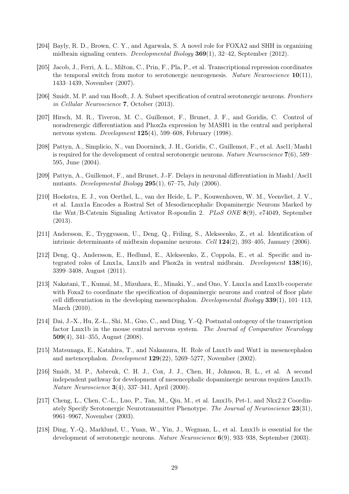- <span id="page-28-0"></span>[204] Bayly, R. D., Brown, C. Y., and Agarwala, S. A novel role for FOXA2 and SHH in organizing midbrain signaling centers. Developmental Biology 369(1), 32–42, September (2012).
- <span id="page-28-1"></span>[205] Jacob, J., Ferri, A. L., Milton, C., Prin, F., Pla, P., et al. Transcriptional repression coordinates the temporal switch from motor to serotonergic neurogenesis. Nature Neuroscience  $10(11)$ , 1433–1439, November (2007).
- <span id="page-28-2"></span>[206] Smidt, M. P. and van Hooft, J. A. Subset specification of central serotonergic neurons. Frontiers in Cellular Neuroscience 7, October (2013).
- <span id="page-28-3"></span>[207] Hirsch, M. R., Tiveron, M. C., Guillemot, F., Brunet, J. F., and Goridis, C. Control of noradrenergic differentiation and Phox2a expression by MASH1 in the central and peripheral nervous system. Development 125(4), 599–608, February (1998).
- <span id="page-28-4"></span>[208] Pattyn, A., Simplicio, N., van Doorninck, J. H., Goridis, C., Guillemot, F., et al. Ascl1/Mash1 is required for the development of central serotonergic neurons. Nature Neuroscience  $7(6)$ , 589– 595, June (2004).
- <span id="page-28-5"></span>[209] Pattyn, A., Guillemot, F., and Brunet, J.-F. Delays in neuronal differentiation in Mash1/Ascl1 mutants. Developmental Biology 295(1), 67–75, July (2006).
- <span id="page-28-6"></span>[210] Hoekstra, E. J., von Oerthel, L., van der Heide, L. P., Kouwenhoven, W. M., Veenvliet, J. V., et al. Lmx1a Encodes a Rostral Set of Mesodiencephalic Dopaminergic Neurons Marked by the Wnt/B-Catenin Signaling Activator R-spondin 2. PLoS ONE 8(9), e74049, September (2013).
- <span id="page-28-7"></span>[211] Andersson, E., Tryggvason, U., Deng, Q., Friling, S., Alekseenko, Z., et al. Identification of intrinsic determinants of midbrain dopamine neurons. Cell  $124(2)$ , 393–405, January (2006).
- <span id="page-28-9"></span>[212] Deng, Q., Andersson, E., Hedlund, E., Alekseenko, Z., Coppola, E., et al. Specific and integrated roles of Lmx1a, Lmx1b and Phox2a in ventral midbrain. Development  $138(16)$ , 3399–3408, August (2011).
- <span id="page-28-8"></span>[213] Nakatani, T., Kumai, M., Mizuhara, E., Minaki, Y., and Ono, Y. Lmx1a and Lmx1b cooperate with Foxa2 to coordinate the specification of dopaminergic neurons and control of floor plate cell differentiation in the developing mesencephalon. Developmental Biology  $339(1)$ ,  $101-113$ , March (2010).
- [214] Dai, J.-X., Hu, Z.-L., Shi, M., Guo, C., and Ding, Y.-Q. Postnatal ontogeny of the transcription factor Lmx1b in the mouse central nervous system. The Journal of Comparative Neurology 509(4), 341–355, August (2008).
- [215] Matsunaga, E., Katahira, T., and Nakamura, H. Role of Lmx1b and Wnt1 in mesencephalon and metencephalon. Development 129(22), 5269–5277, November (2002).
- <span id="page-28-10"></span>[216] Smidt, M. P., Asbreuk, C. H. J., Cox, J. J., Chen, H., Johnson, R. L., et al. A second independent pathway for development of mesencephalic dopaminergic neurons requires Lmx1b. Nature Neuroscience 3(4), 337–341, April (2000).
- <span id="page-28-11"></span>[217] Cheng, L., Chen, C.-L., Luo, P., Tan, M., Qiu, M., et al. Lmx1b, Pet-1, and Nkx2.2 Coordinately Specify Serotonergic Neurotransmitter Phenotype. The Journal of Neuroscience 23(31), 9961–9967, November (2003).
- <span id="page-28-12"></span>[218] Ding, Y.-Q., Marklund, U., Yuan, W., Yin, J., Wegman, L., et al. Lmx1b is essential for the development of serotonergic neurons. Nature Neuroscience 6(9), 933–938, September (2003).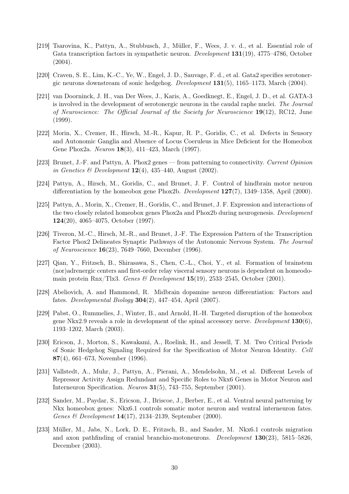- <span id="page-29-0"></span>[219] Tsarovina, K., Pattyn, A., Stubbusch, J., Müller, F., Wees, J. v. d., et al. Essential role of Gata transcription factors in sympathetic neuron. *Development* 131(19), 4775–4786, October  $(2004).$
- <span id="page-29-1"></span>[220] Craven, S. E., Lim, K.-C., Ye, W., Engel, J. D., Sauvage, F. d., et al. Gata2 specifies serotonergic neurons downstream of sonic hedgehog. Development 131(5), 1165–1173, March (2004).
- <span id="page-29-2"></span>[221] van Doorninck, J. H., van Der Wees, J., Karis, A., Goedknegt, E., Engel, J. D., et al. GATA-3 is involved in the development of serotonergic neurons in the caudal raphe nuclei. The Journal of Neuroscience: The Official Journal of the Society for Neuroscience 19(12), RC12, June (1999).
- <span id="page-29-3"></span>[222] Morin, X., Cremer, H., Hirsch, M.-R., Kapur, R. P., Goridis, C., et al. Defects in Sensory and Autonomic Ganglia and Absence of Locus Coeruleus in Mice Deficient for the Homeobox Gene Phox2a. Neuron 18(3), 411–423, March (1997).
- <span id="page-29-4"></span>[223] Brunet, J.-F. and Pattyn, A. Phox2 genes — from patterning to connectivity. Current Opinion in Genetics & Development  $12(4)$ ,  $435-440$ , August (2002).
- <span id="page-29-5"></span>[224] Pattyn, A., Hirsch, M., Goridis, C., and Brunet, J. F. Control of hindbrain motor neuron differentiation by the homeobox gene Phox2b. *Development*  $127(7)$ , 1349–1358, April (2000).
- <span id="page-29-6"></span>[225] Pattyn, A., Morin, X., Cremer, H., Goridis, C., and Brunet, J. F. Expression and interactions of the two closely related homeobox genes Phox2a and Phox2b during neurogenesis. Development 124(20), 4065–4075, October (1997).
- <span id="page-29-7"></span>[226] Tiveron, M.-C., Hirsch, M.-R., and Brunet, J.-F. The Expression Pattern of the Transcription Factor Phox2 Delineates Synaptic Pathways of the Autonomic Nervous System. The Journal of Neuroscience 16(23), 7649–7660, December (1996).
- <span id="page-29-8"></span>[227] Qian, Y., Fritzsch, B., Shirasawa, S., Chen, C.-L., Choi, Y., et al. Formation of brainstem (nor)adrenergic centers and first-order relay visceral sensory neurons is dependent on homeodomain protein Rnx/Tlx3. Genes & Development  $15(19)$ , 2533-2545, October (2001).
- <span id="page-29-9"></span>[228] Abeliovich, A. and Hammond, R. Midbrain dopamine neuron differentiation: Factors and fates. Developmental Biology 304(2), 447–454, April (2007).
- <span id="page-29-10"></span>[229] Pabst, O., Rummelies, J., Winter, B., and Arnold, H.-H. Targeted disruption of the homeobox gene Nkx2.9 reveals a role in development of the spinal accessory nerve. Development  $130(6)$ , 1193–1202, March (2003).
- <span id="page-29-11"></span>[230] Ericson, J., Morton, S., Kawakami, A., Roelink, H., and Jessell, T. M. Two Critical Periods of Sonic Hedgehog Signaling Required for the Specification of Motor Neuron Identity. Cell 87(4), 661–673, November (1996).
- <span id="page-29-12"></span>[231] Vallstedt, A., Muhr, J., Pattyn, A., Pierani, A., Mendelsohn, M., et al. Different Levels of Repressor Activity Assign Redundant and Specific Roles to Nkx6 Genes in Motor Neuron and Interneuron Specification. Neuron 31(5), 743–755, September (2001).
- <span id="page-29-13"></span>[232] Sander, M., Paydar, S., Ericson, J., Briscoe, J., Berber, E., et al. Ventral neural patterning by Nkx homeobox genes: Nkx6.1 controls somatic motor neuron and ventral interneuron fates. Genes & Development 14(17), 2134–2139, September (2000).
- <span id="page-29-14"></span>[233] Müller, M., Jabs, N., Lork, D. E., Fritzsch, B., and Sander, M. Nkx6.1 controls migration and axon pathfinding of cranial branchio-motoneurons. Development 130(23), 5815–5826, December (2003).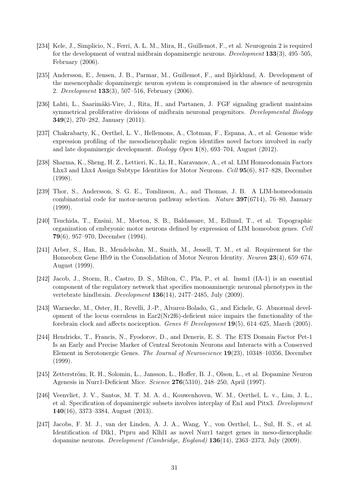- <span id="page-30-0"></span>[234] Kele, J., Simplicio, N., Ferri, A. L. M., Mira, H., Guillemot, F., et al. Neurogenin 2 is required for the development of ventral midbrain dopaminergic neurons. Development 133(3), 495–505, February (2006).
- [235] Andersson, E., Jensen, J. B., Parmar, M., Guillemot, F., and Björklund, A. Development of the mesencephalic dopaminergic neuron system is compromised in the absence of neurogenin 2. Development 133(3), 507–516, February (2006).
- <span id="page-30-1"></span>[236] Lahti, L., Saarimäki-Vire, J., Rita, H., and Partanen, J. FGF signaling gradient maintains symmetrical proliferative divisions of midbrain neuronal progenitors. Developmental Biology 349(2), 270–282, January (2011).
- <span id="page-30-2"></span>[237] Chakrabarty, K., Oerthel, L. V., Hellemons, A., Clotman, F., Espana, A., et al. Genome wide expression profiling of the mesodiencephalic region identifies novel factors involved in early and late dopaminergic development. Biology Open 1(8), 693–704, August (2012).
- <span id="page-30-3"></span>[238] Sharma, K., Sheng, H. Z., Lettieri, K., Li, H., Karavanov, A., et al. LIM Homeodomain Factors Lhx3 and Lhx4 Assign Subtype Identities for Motor Neurons. Cell 95(6), 817–828, December (1998).
- [239] Thor, S., Andersson, S. G. E., Tomlinson, A., and Thomas, J. B. A LIM-homeodomain combinatorial code for motor-neuron pathway selection. Nature 397(6714), 76–80, January (1999).
- [240] Tsuchida, T., Ensini, M., Morton, S. B., Baldassare, M., Edlund, T., et al. Topographic organization of embryonic motor neurons defined by expression of LIM homeobox genes. Cell 79(6), 957–970, December (1994).
- <span id="page-30-4"></span>[241] Arber, S., Han, B., Mendelsohn, M., Smith, M., Jessell, T. M., et al. Requirement for the Homeobox Gene Hb9 in the Consolidation of Motor Neuron Identity. Neuron 23(4), 659–674, August (1999).
- <span id="page-30-5"></span>[242] Jacob, J., Storm, R., Castro, D. S., Milton, C., Pla, P., et al. Insm1 (IA-1) is an essential component of the regulatory network that specifies monoaminergic neuronal phenotypes in the vertebrate hindbrain. Development 136(14), 2477–2485, July (2009).
- <span id="page-30-6"></span>[243] Warnecke, M., Oster, H., Revelli, J.-P., Alvarez-Bolado, G., and Eichele, G. Abnormal development of the locus coeruleus in Ear2(Nr2f6)-deficient mice impairs the functionality of the forebrain clock and affects nociception. Genes & Development 19(5), 614–625, March (2005).
- <span id="page-30-7"></span>[244] Hendricks, T., Francis, N., Fyodorov, D., and Deneris, E. S. The ETS Domain Factor Pet-1 Is an Early and Precise Marker of Central Serotonin Neurons and Interacts with a Conserved Element in Serotonergic Genes. The Journal of Neuroscience 19(23), 10348–10356, December (1999).
- <span id="page-30-8"></span>[245] Zetterström, R. H., Solomin, L., Jansson, L., Hoffer, B. J., Olson, L., et al. Dopamine Neuron Agenesis in Nurr1-Deficient Mice. Science 276(5310), 248–250, April (1997).
- <span id="page-30-9"></span>[246] Veenvliet, J. V., Santos, M. T. M. A. d., Kouwenhoven, W. M., Oerthel, L. v., Lim, J. L., et al. Specification of dopaminergic subsets involves interplay of En1 and Pitx3. Development 140(16), 3373–3384, August (2013).
- [247] Jacobs, F. M. J., van der Linden, A. J. A., Wang, Y., von Oerthel, L., Sul, H. S., et al. Identification of Dlk1, Ptpru and Klhl1 as novel Nurr1 target genes in meso-diencephalic dopamine neurons. Development (Cambridge, England) 136(14), 2363–2373, July (2009).